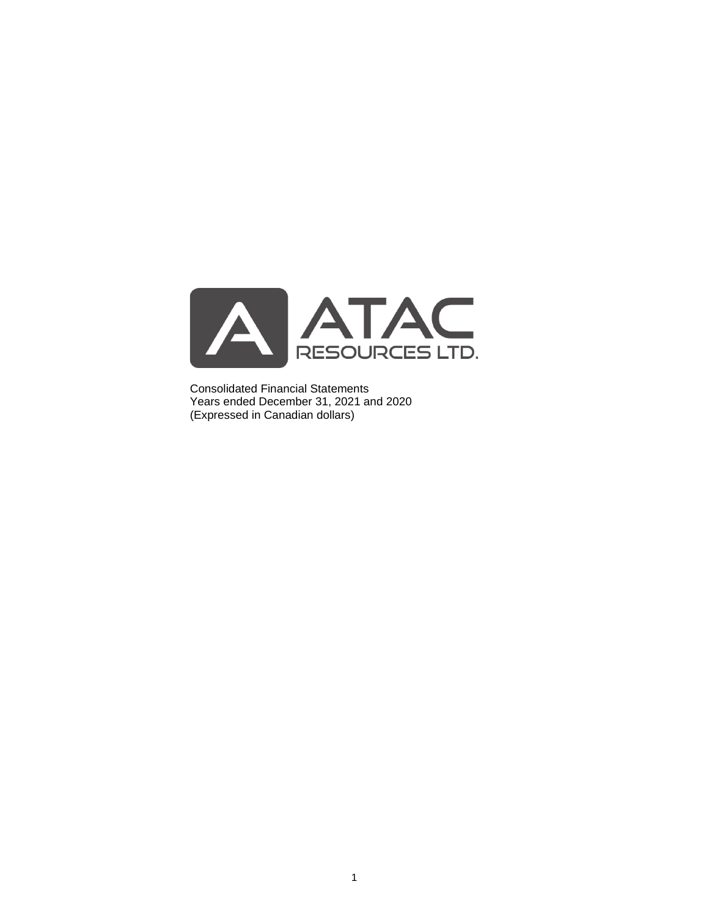

Consolidated Financial Statements Years ended December 31, 2021 and 2020 (Expressed in Canadian dollars)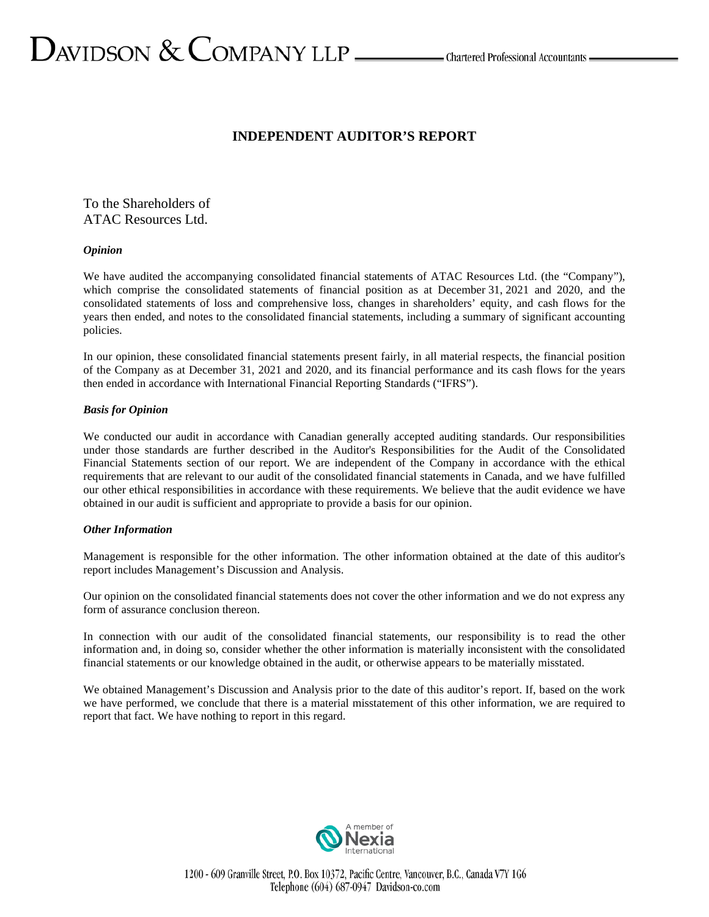## **INDEPENDENT AUDITOR'S REPORT**

To the Shareholders of ATAC Resources Ltd.

## *Opinion*

We have audited the accompanying consolidated financial statements of ATAC Resources Ltd. (the "Company"), which comprise the consolidated statements of financial position as at December 31, 2021 and 2020, and the consolidated statements of loss and comprehensive loss, changes in shareholders' equity, and cash flows for the years then ended, and notes to the consolidated financial statements, including a summary of significant accounting policies.

In our opinion, these consolidated financial statements present fairly, in all material respects, the financial position of the Company as at December 31, 2021 and 2020, and its financial performance and its cash flows for the years then ended in accordance with International Financial Reporting Standards ("IFRS").

## *Basis for Opinion*

We conducted our audit in accordance with Canadian generally accepted auditing standards. Our responsibilities under those standards are further described in the Auditor's Responsibilities for the Audit of the Consolidated Financial Statements section of our report. We are independent of the Company in accordance with the ethical requirements that are relevant to our audit of the consolidated financial statements in Canada, and we have fulfilled our other ethical responsibilities in accordance with these requirements. We believe that the audit evidence we have obtained in our audit is sufficient and appropriate to provide a basis for our opinion.

## *Other Information*

Management is responsible for the other information. The other information obtained at the date of this auditor's report includes Management's Discussion and Analysis.

Our opinion on the consolidated financial statements does not cover the other information and we do not express any form of assurance conclusion thereon.

In connection with our audit of the consolidated financial statements, our responsibility is to read the other information and, in doing so, consider whether the other information is materially inconsistent with the consolidated financial statements or our knowledge obtained in the audit, or otherwise appears to be materially misstated.

We obtained Management's Discussion and Analysis prior to the date of this auditor's report. If, based on the work we have performed, we conclude that there is a material misstatement of this other information, we are required to report that fact. We have nothing to report in this regard.

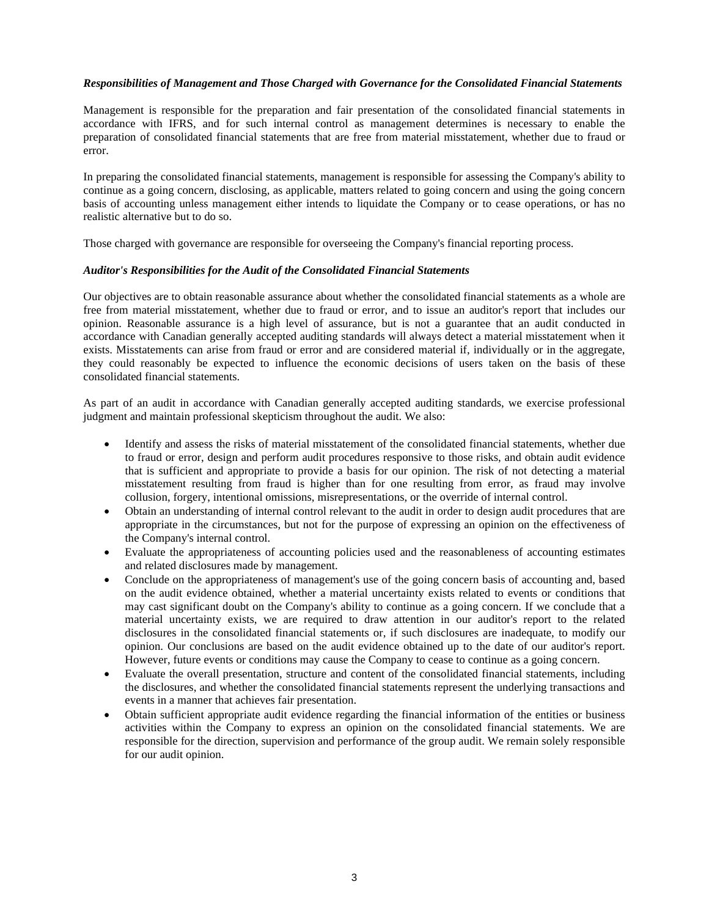## *Responsibilities of Management and Those Charged with Governance for the Consolidated Financial Statements*

Management is responsible for the preparation and fair presentation of the consolidated financial statements in accordance with IFRS, and for such internal control as management determines is necessary to enable the preparation of consolidated financial statements that are free from material misstatement, whether due to fraud or error.

In preparing the consolidated financial statements, management is responsible for assessing the Company's ability to continue as a going concern, disclosing, as applicable, matters related to going concern and using the going concern basis of accounting unless management either intends to liquidate the Company or to cease operations, or has no realistic alternative but to do so.

Those charged with governance are responsible for overseeing the Company's financial reporting process.

## *Auditor's Responsibilities for the Audit of the Consolidated Financial Statements*

Our objectives are to obtain reasonable assurance about whether the consolidated financial statements as a whole are free from material misstatement, whether due to fraud or error, and to issue an auditor's report that includes our opinion. Reasonable assurance is a high level of assurance, but is not a guarantee that an audit conducted in accordance with Canadian generally accepted auditing standards will always detect a material misstatement when it exists. Misstatements can arise from fraud or error and are considered material if, individually or in the aggregate, they could reasonably be expected to influence the economic decisions of users taken on the basis of these consolidated financial statements.

As part of an audit in accordance with Canadian generally accepted auditing standards, we exercise professional judgment and maintain professional skepticism throughout the audit. We also:

- Identify and assess the risks of material misstatement of the consolidated financial statements, whether due to fraud or error, design and perform audit procedures responsive to those risks, and obtain audit evidence that is sufficient and appropriate to provide a basis for our opinion. The risk of not detecting a material misstatement resulting from fraud is higher than for one resulting from error, as fraud may involve collusion, forgery, intentional omissions, misrepresentations, or the override of internal control.
- Obtain an understanding of internal control relevant to the audit in order to design audit procedures that are appropriate in the circumstances, but not for the purpose of expressing an opinion on the effectiveness of the Company's internal control.
- Evaluate the appropriateness of accounting policies used and the reasonableness of accounting estimates and related disclosures made by management.
- Conclude on the appropriateness of management's use of the going concern basis of accounting and, based on the audit evidence obtained, whether a material uncertainty exists related to events or conditions that may cast significant doubt on the Company's ability to continue as a going concern. If we conclude that a material uncertainty exists, we are required to draw attention in our auditor's report to the related disclosures in the consolidated financial statements or, if such disclosures are inadequate, to modify our opinion. Our conclusions are based on the audit evidence obtained up to the date of our auditor's report. However, future events or conditions may cause the Company to cease to continue as a going concern.
- Evaluate the overall presentation, structure and content of the consolidated financial statements, including the disclosures, and whether the consolidated financial statements represent the underlying transactions and events in a manner that achieves fair presentation.
- Obtain sufficient appropriate audit evidence regarding the financial information of the entities or business activities within the Company to express an opinion on the consolidated financial statements. We are responsible for the direction, supervision and performance of the group audit. We remain solely responsible for our audit opinion.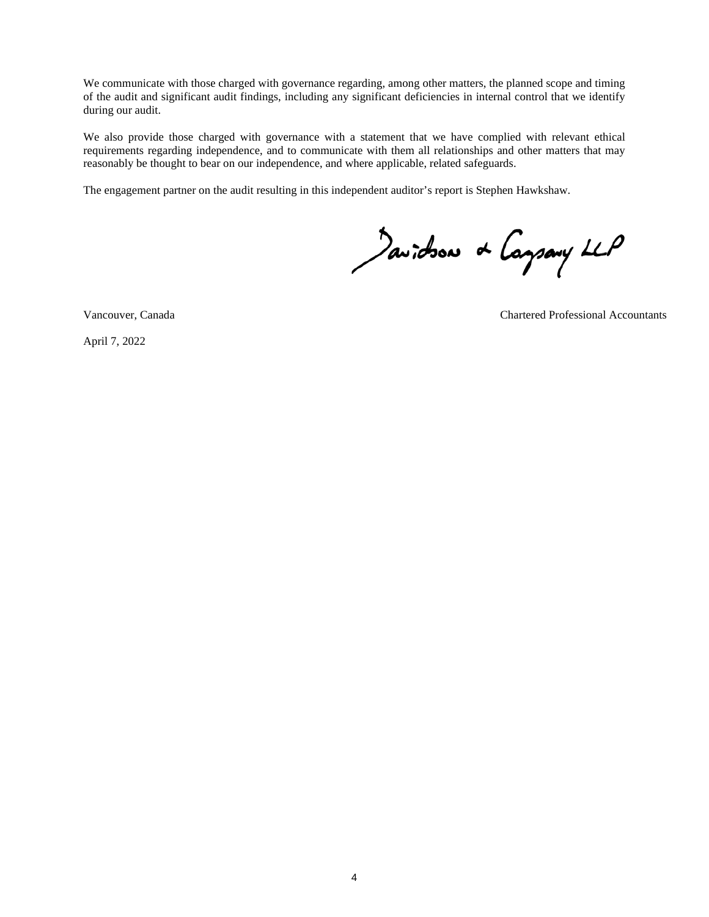We communicate with those charged with governance regarding, among other matters, the planned scope and timing of the audit and significant audit findings, including any significant deficiencies in internal control that we identify during our audit.

We also provide those charged with governance with a statement that we have complied with relevant ethical requirements regarding independence, and to communicate with them all relationships and other matters that may reasonably be thought to bear on our independence, and where applicable, related safeguards.

The engagement partner on the audit resulting in this independent auditor's report is Stephen Hawkshaw.

Javidson & Caysany LLP

April 7, 2022

Vancouver, Canada Chartered Professional Accountants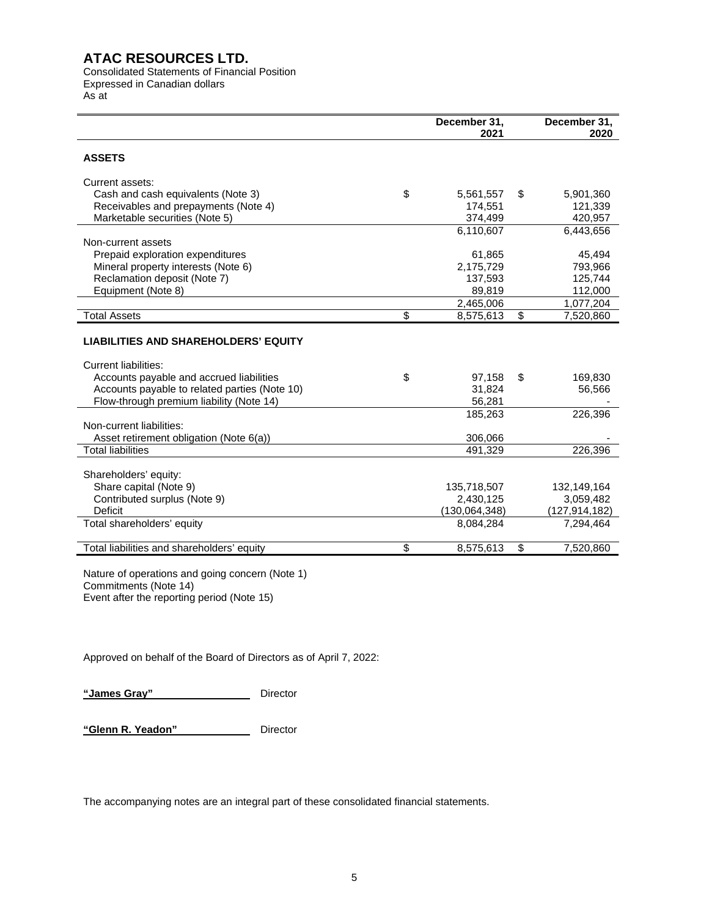Consolidated Statements of Financial Position Expressed in Canadian dollars As at

|                                               |                          | December 31,  | December 31,    |
|-----------------------------------------------|--------------------------|---------------|-----------------|
|                                               |                          | 2021          | 2020            |
| <b>ASSETS</b>                                 |                          |               |                 |
| Current assets:                               |                          |               |                 |
| Cash and cash equivalents (Note 3)            | \$                       | 5,561,557     | \$<br>5,901,360 |
| Receivables and prepayments (Note 4)          |                          | 174,551       | 121,339         |
| Marketable securities (Note 5)                |                          | 374,499       | 420,957         |
|                                               |                          | 6,110,607     | 6,443,656       |
| Non-current assets                            |                          |               |                 |
| Prepaid exploration expenditures              |                          | 61,865        | 45,494          |
| Mineral property interests (Note 6)           |                          | 2,175,729     | 793,966         |
| Reclamation deposit (Note 7)                  |                          | 137,593       | 125,744         |
| Equipment (Note 8)                            |                          | 89,819        | 112,000         |
|                                               |                          | 2,465,006     | 1,077,204       |
| <b>Total Assets</b>                           | $\overline{\mathcal{S}}$ | 8,575,613     | \$<br>7,520,860 |
| <b>LIABILITIES AND SHAREHOLDERS' EQUITY</b>   |                          |               |                 |
| Current liabilities:                          |                          |               |                 |
| Accounts payable and accrued liabilities      | \$                       | 97,158        | \$<br>169,830   |
| Accounts payable to related parties (Note 10) |                          | 31,824        | 56,566          |
| Flow-through premium liability (Note 14)      |                          | 56,281        |                 |
|                                               |                          | 185,263       | 226,396         |
| Non-current liabilities:                      |                          |               |                 |
| Asset retirement obligation (Note 6(a))       |                          | 306,066       |                 |
| <b>Total liabilities</b>                      |                          | 491,329       | 226,396         |
|                                               |                          |               |                 |
| Shareholders' equity:                         |                          |               |                 |
| Share capital (Note 9)                        |                          | 135,718,507   | 132,149,164     |
| Contributed surplus (Note 9)<br>Deficit       |                          | 2,430,125     | 3,059,482       |
|                                               |                          | (130,064,348) | (127, 914, 182) |
| Total shareholders' equity                    |                          | 8,084,284     | 7,294,464       |
| Total liabilities and shareholders' equity    | \$                       | 8,575,613     | \$<br>7,520,860 |

Nature of operations and going concern (Note 1) Commitments (Note 14) Event after the reporting period (Note 15)

Approved on behalf of the Board of Directors as of April 7, 2022:

"James Gray" **Director** Director

**"Glenn R. Yeadon"** Director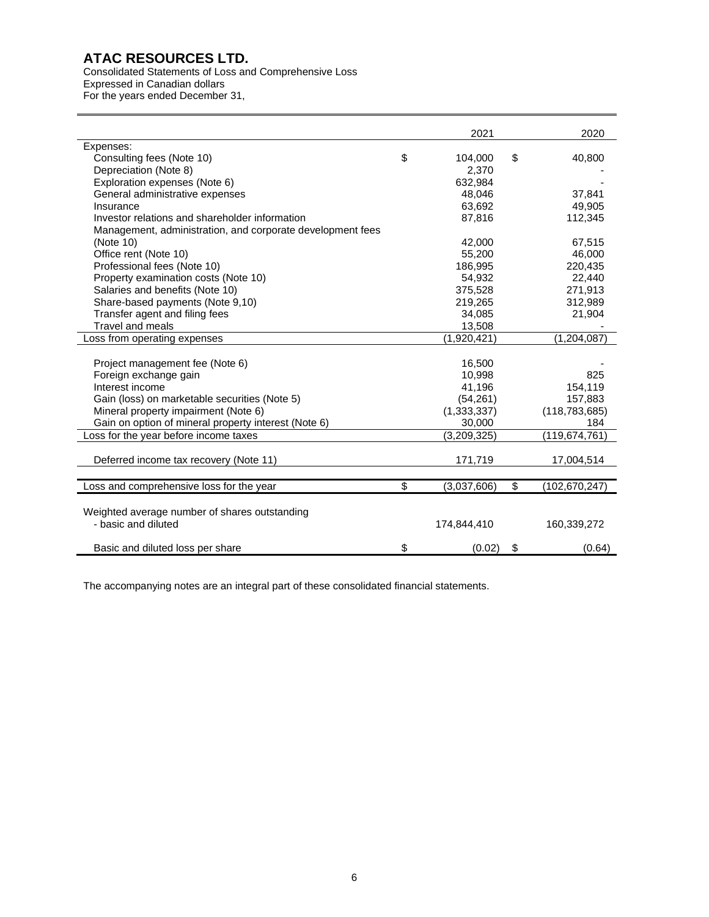## Consolidated Statements of Loss and Comprehensive Loss Expressed in Canadian dollars For the years ended December 31,

|                                                            | 2021              | 2020                  |
|------------------------------------------------------------|-------------------|-----------------------|
| Expenses:                                                  |                   |                       |
| Consulting fees (Note 10)                                  | \$<br>104,000     | \$<br>40,800          |
| Depreciation (Note 8)                                      | 2,370             |                       |
| Exploration expenses (Note 6)                              | 632,984           |                       |
| General administrative expenses                            | 48,046            | 37,841                |
| Insurance                                                  | 63,692            | 49,905                |
| Investor relations and shareholder information             | 87,816            | 112,345               |
| Management, administration, and corporate development fees |                   |                       |
| (Note 10)                                                  | 42,000            | 67,515                |
| Office rent (Note 10)                                      | 55.200            | 46,000                |
| Professional fees (Note 10)                                | 186,995           | 220,435               |
| Property examination costs (Note 10)                       | 54,932            | 22,440                |
| Salaries and benefits (Note 10)                            | 375,528           | 271,913               |
| Share-based payments (Note 9,10)                           | 219,265           | 312,989               |
| Transfer agent and filing fees                             | 34,085            | 21,904                |
| Travel and meals                                           | 13,508            |                       |
| Loss from operating expenses                               | (1,920,421)       | (1, 204, 087)         |
|                                                            |                   |                       |
| Project management fee (Note 6)                            | 16,500            |                       |
| Foreign exchange gain                                      | 10,998            | 825                   |
| Interest income                                            | 41,196            | 154,119               |
| Gain (loss) on marketable securities (Note 5)              | (54, 261)         | 157,883               |
| Mineral property impairment (Note 6)                       | (1, 333, 337)     | (118, 783, 685)       |
| Gain on option of mineral property interest (Note 6)       | 30,000            | 184                   |
| Loss for the year before income taxes                      | (3,209,325)       | (119, 674, 761)       |
|                                                            |                   |                       |
| Deferred income tax recovery (Note 11)                     | 171,719           | 17,004,514            |
|                                                            |                   |                       |
| Loss and comprehensive loss for the year                   | \$<br>(3,037,606) | \$<br>(102, 670, 247) |
|                                                            |                   |                       |
| Weighted average number of shares outstanding              |                   |                       |
| - basic and diluted                                        | 174,844,410       | 160,339,272           |
|                                                            |                   |                       |
| Basic and diluted loss per share                           | \$<br>(0.02)      | \$<br>(0.64)          |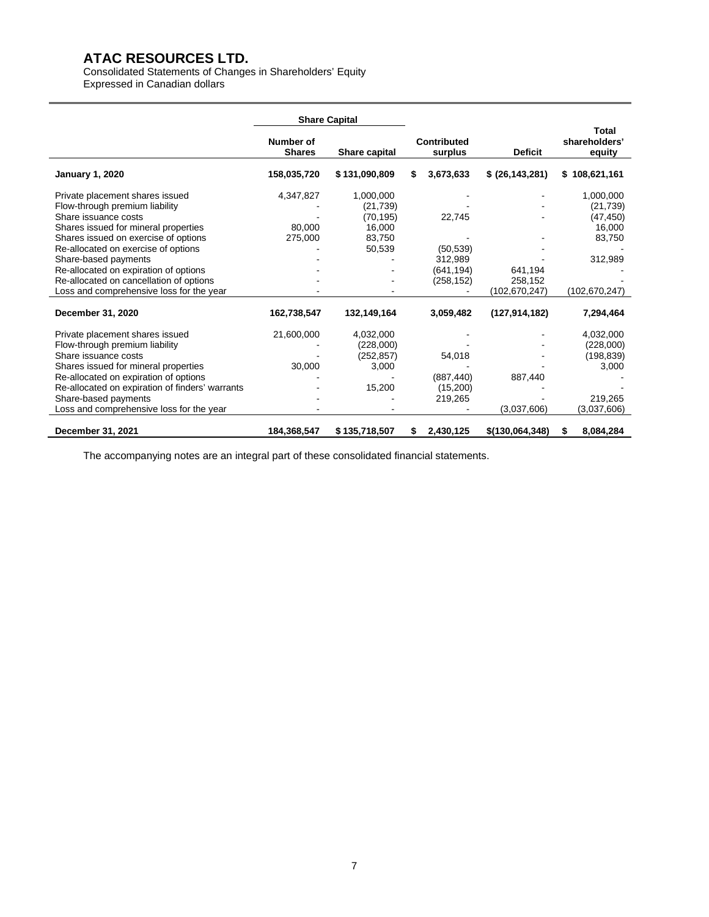Consolidated Statements of Changes in Shareholders' Equity Expressed in Canadian dollars

|                                                 |                            | <b>Share Capital</b> |    |                        |                   |                                         |
|-------------------------------------------------|----------------------------|----------------------|----|------------------------|-------------------|-----------------------------------------|
|                                                 | Number of<br><b>Shares</b> | Share capital        |    | Contributed<br>surplus | <b>Deficit</b>    | <b>Total</b><br>shareholders'<br>equity |
| <b>January 1, 2020</b>                          | 158,035,720                | \$131,090,809        | S  | 3,673,633              | \$ (26, 143, 281) | \$108,621,161                           |
| Private placement shares issued                 | 4,347,827                  | 1,000,000            |    |                        |                   | 1,000,000                               |
| Flow-through premium liability                  |                            | (21, 739)            |    |                        |                   | (21, 739)                               |
| Share issuance costs                            |                            | (70, 195)            |    | 22,745                 |                   | (47, 450)                               |
| Shares issued for mineral properties            | 80,000                     | 16,000               |    |                        |                   | 16,000                                  |
| Shares issued on exercise of options            | 275,000                    | 83,750               |    |                        |                   | 83,750                                  |
| Re-allocated on exercise of options             |                            |                      |    |                        |                   |                                         |
| Share-based payments                            |                            |                      |    | 312.989                |                   | 312,989                                 |
| Re-allocated on expiration of options           |                            |                      |    | (641, 194)             | 641,194           |                                         |
| Re-allocated on cancellation of options         |                            |                      |    | (258, 152)             | 258,152           |                                         |
| Loss and comprehensive loss for the year        |                            |                      |    |                        | (102,670,247)     | (102, 670, 247)                         |
| December 31, 2020                               | 162,738,547                | 132,149,164          |    | 3,059,482              | (127, 914, 182)   | 7,294,464                               |
| Private placement shares issued                 | 21,600,000                 | 4,032,000            |    |                        |                   | 4,032,000                               |
| Flow-through premium liability                  |                            | (228,000)            |    |                        |                   | (228,000)                               |
| Share issuance costs                            |                            | (252, 857)           |    | 54,018                 |                   | (198, 839)                              |
| Shares issued for mineral properties            | 30,000                     | 3,000                |    |                        |                   | 3,000                                   |
| Re-allocated on expiration of options           |                            |                      |    | (887, 440)             | 887,440           |                                         |
| Re-allocated on expiration of finders' warrants |                            | 15,200               |    | (15,200)               |                   |                                         |
| Share-based payments                            |                            |                      |    | 219,265                |                   | 219,265                                 |
| Loss and comprehensive loss for the year        |                            |                      |    |                        | (3,037,606)       | (3,037,606)                             |
| December 31, 2021                               | 184,368,547                | \$135,718,507        | \$ | 2,430,125              | \$(130,064,348)   | 8,084,284<br>S                          |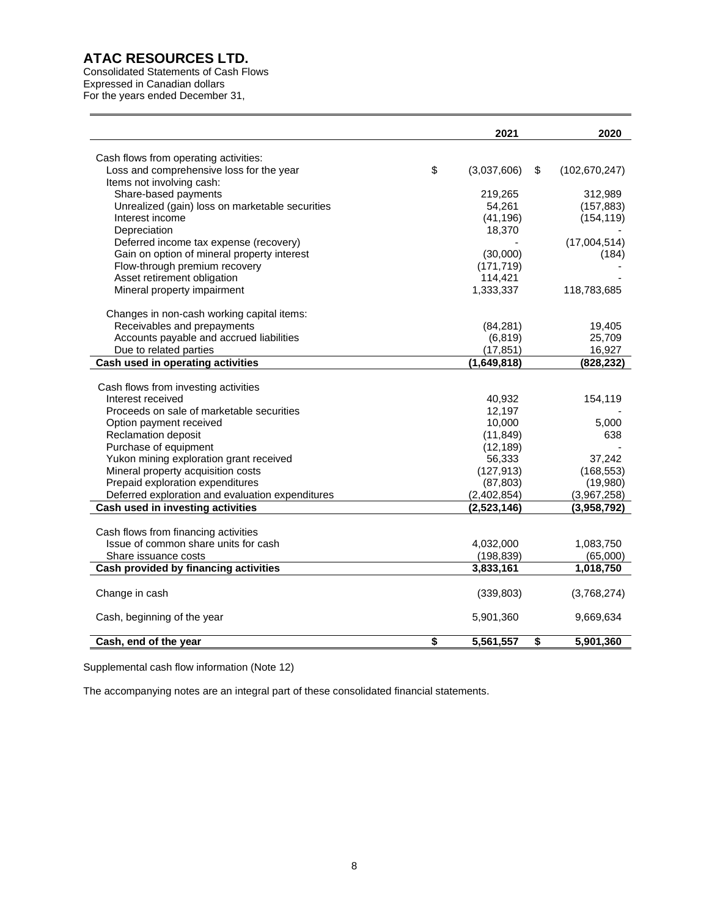## Consolidated Statements of Cash Flows

Expressed in Canadian dollars

For the years ended December 31,

|                                                  | 2021              | 2020                  |
|--------------------------------------------------|-------------------|-----------------------|
| Cash flows from operating activities:            |                   |                       |
| Loss and comprehensive loss for the year         | \$<br>(3,037,606) | \$<br>(102, 670, 247) |
| Items not involving cash:                        |                   |                       |
| Share-based payments                             | 219,265           | 312,989               |
| Unrealized (gain) loss on marketable securities  | 54,261            | (157, 883)            |
| Interest income                                  | (41, 196)         | (154, 119)            |
| Depreciation                                     | 18,370            |                       |
| Deferred income tax expense (recovery)           |                   | (17,004,514)          |
| Gain on option of mineral property interest      | (30,000)          | (184)                 |
| Flow-through premium recovery                    | (171, 719)        |                       |
| Asset retirement obligation                      | 114,421           |                       |
| Mineral property impairment                      | 1,333,337         | 118,783,685           |
| Changes in non-cash working capital items:       |                   |                       |
| Receivables and prepayments                      | (84, 281)         | 19,405                |
| Accounts payable and accrued liabilities         | (6, 819)          | 25,709                |
| Due to related parties                           | (17, 851)         | 16,927                |
| Cash used in operating activities                | (1,649,818)       | (828, 232)            |
|                                                  |                   |                       |
| Cash flows from investing activities             |                   |                       |
| Interest received                                | 40,932            | 154,119               |
| Proceeds on sale of marketable securities        | 12,197            |                       |
| Option payment received                          | 10,000            | 5,000                 |
| Reclamation deposit                              | (11, 849)         | 638                   |
| Purchase of equipment                            | (12, 189)         |                       |
| Yukon mining exploration grant received          | 56,333            | 37,242                |
| Mineral property acquisition costs               | (127, 913)        | (168, 553)            |
| Prepaid exploration expenditures                 | (87, 803)         | (19,980)              |
| Deferred exploration and evaluation expenditures | (2,402,854)       | (3,967,258)           |
| Cash used in investing activities                | (2,523,146)       | (3,958,792)           |
|                                                  |                   |                       |
| Cash flows from financing activities             |                   |                       |
| Issue of common share units for cash             | 4,032,000         | 1,083,750             |
| Share issuance costs                             | (198, 839)        | (65,000)              |
| Cash provided by financing activities            | 3,833,161         | 1,018,750             |
| Change in cash                                   | (339, 803)        | (3,768,274)           |
| Cash, beginning of the year                      | 5,901,360         | 9,669,634             |
| Cash, end of the year                            | \$<br>5,561,557   | \$<br>5,901,360       |

Supplemental cash flow information (Note 12)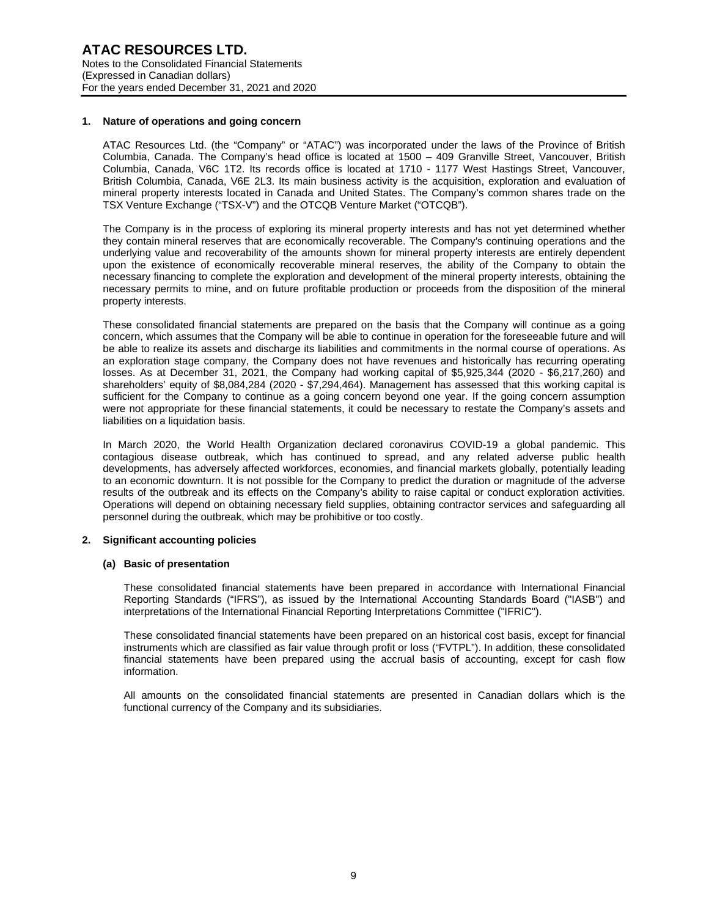## **1. Nature of operations and going concern**

ATAC Resources Ltd. (the "Company" or "ATAC") was incorporated under the laws of the Province of British Columbia, Canada. The Company's head office is located at 1500 – 409 Granville Street, Vancouver, British Columbia, Canada, V6C 1T2. Its records office is located at 1710 - 1177 West Hastings Street, Vancouver, British Columbia, Canada, V6E 2L3. Its main business activity is the acquisition, exploration and evaluation of mineral property interests located in Canada and United States. The Company's common shares trade on the TSX Venture Exchange ("TSX-V") and the OTCQB Venture Market ("OTCQB").

The Company is in the process of exploring its mineral property interests and has not yet determined whether they contain mineral reserves that are economically recoverable. The Company's continuing operations and the underlying value and recoverability of the amounts shown for mineral property interests are entirely dependent upon the existence of economically recoverable mineral reserves, the ability of the Company to obtain the necessary financing to complete the exploration and development of the mineral property interests, obtaining the necessary permits to mine, and on future profitable production or proceeds from the disposition of the mineral property interests.

These consolidated financial statements are prepared on the basis that the Company will continue as a going concern, which assumes that the Company will be able to continue in operation for the foreseeable future and will be able to realize its assets and discharge its liabilities and commitments in the normal course of operations. As an exploration stage company, the Company does not have revenues and historically has recurring operating losses. As at December 31, 2021, the Company had working capital of \$5,925,344 (2020 - \$6,217,260) and shareholders' equity of \$8,084,284 (2020 - \$7,294,464). Management has assessed that this working capital is sufficient for the Company to continue as a going concern beyond one year. If the going concern assumption were not appropriate for these financial statements, it could be necessary to restate the Company's assets and liabilities on a liquidation basis.

In March 2020, the World Health Organization declared coronavirus COVID-19 a global pandemic. This contagious disease outbreak, which has continued to spread, and any related adverse public health developments, has adversely affected workforces, economies, and financial markets globally, potentially leading to an economic downturn. It is not possible for the Company to predict the duration or magnitude of the adverse results of the outbreak and its effects on the Company's ability to raise capital or conduct exploration activities. Operations will depend on obtaining necessary field supplies, obtaining contractor services and safeguarding all personnel during the outbreak, which may be prohibitive or too costly.

## **2. Significant accounting policies**

#### **(a) Basic of presentation**

These consolidated financial statements have been prepared in accordance with International Financial Reporting Standards ("IFRS"), as issued by the International Accounting Standards Board ("IASB") and interpretations of the International Financial Reporting Interpretations Committee ("IFRIC").

These consolidated financial statements have been prepared on an historical cost basis, except for financial instruments which are classified as fair value through profit or loss ("FVTPL"). In addition, these consolidated financial statements have been prepared using the accrual basis of accounting, except for cash flow information.

All amounts on the consolidated financial statements are presented in Canadian dollars which is the functional currency of the Company and its subsidiaries.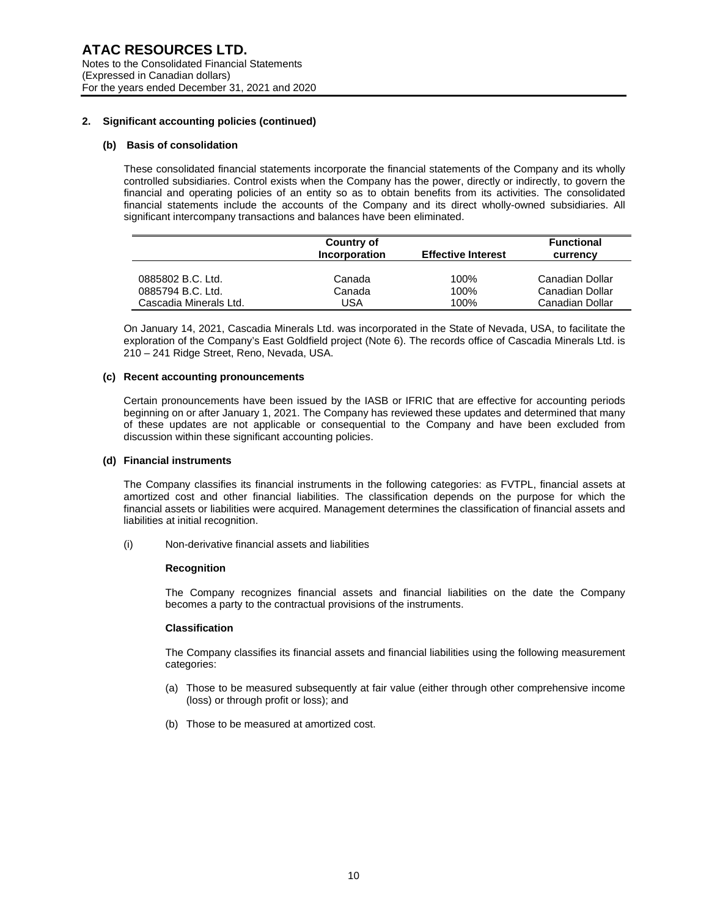## **(b) Basis of consolidation**

These consolidated financial statements incorporate the financial statements of the Company and its wholly controlled subsidiaries. Control exists when the Company has the power, directly or indirectly, to govern the financial and operating policies of an entity so as to obtain benefits from its activities. The consolidated financial statements include the accounts of the Company and its direct wholly-owned subsidiaries. All significant intercompany transactions and balances have been eliminated.

|                        | <b>Country of</b><br>Incorporation<br><b>Effective Interest</b> |      |                 |  |  |  |
|------------------------|-----------------------------------------------------------------|------|-----------------|--|--|--|
| 0885802 B.C. Ltd.      | Canada                                                          | 100% | Canadian Dollar |  |  |  |
| 0885794 B.C. Ltd.      | Canada                                                          | 100% | Canadian Dollar |  |  |  |
| Cascadia Minerals Ltd. | USA                                                             | 100% | Canadian Dollar |  |  |  |

On January 14, 2021, Cascadia Minerals Ltd. was incorporated in the State of Nevada, USA, to facilitate the exploration of the Company's East Goldfield project (Note 6). The records office of Cascadia Minerals Ltd. is 210 – 241 Ridge Street, Reno, Nevada, USA.

## **(c) Recent accounting pronouncements**

Certain pronouncements have been issued by the IASB or IFRIC that are effective for accounting periods beginning on or after January 1, 2021. The Company has reviewed these updates and determined that many of these updates are not applicable or consequential to the Company and have been excluded from discussion within these significant accounting policies.

#### **(d) Financial instruments**

The Company classifies its financial instruments in the following categories: as FVTPL, financial assets at amortized cost and other financial liabilities. The classification depends on the purpose for which the financial assets or liabilities were acquired. Management determines the classification of financial assets and liabilities at initial recognition.

(i) Non-derivative financial assets and liabilities

## **Recognition**

The Company recognizes financial assets and financial liabilities on the date the Company becomes a party to the contractual provisions of the instruments.

## **Classification**

The Company classifies its financial assets and financial liabilities using the following measurement categories:

- (a) Those to be measured subsequently at fair value (either through other comprehensive income (loss) or through profit or loss); and
- (b) Those to be measured at amortized cost.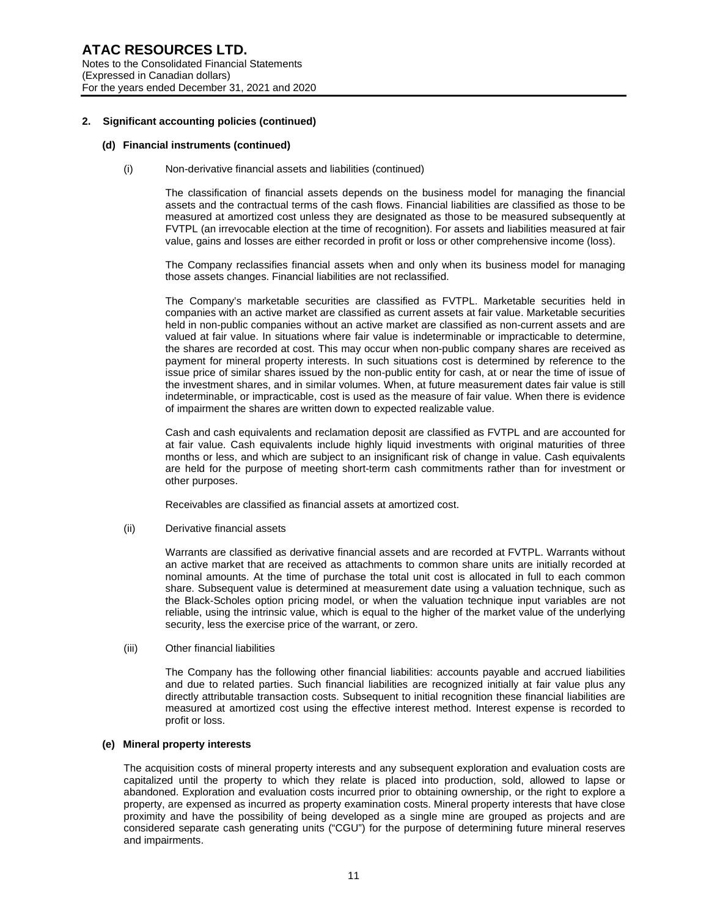## **(d) Financial instruments (continued)**

(i) Non-derivative financial assets and liabilities (continued)

The classification of financial assets depends on the business model for managing the financial assets and the contractual terms of the cash flows. Financial liabilities are classified as those to be measured at amortized cost unless they are designated as those to be measured subsequently at FVTPL (an irrevocable election at the time of recognition). For assets and liabilities measured at fair value, gains and losses are either recorded in profit or loss or other comprehensive income (loss).

The Company reclassifies financial assets when and only when its business model for managing those assets changes. Financial liabilities are not reclassified.

The Company's marketable securities are classified as FVTPL. Marketable securities held in companies with an active market are classified as current assets at fair value. Marketable securities held in non-public companies without an active market are classified as non-current assets and are valued at fair value. In situations where fair value is indeterminable or impracticable to determine, the shares are recorded at cost. This may occur when non-public company shares are received as payment for mineral property interests. In such situations cost is determined by reference to the issue price of similar shares issued by the non-public entity for cash, at or near the time of issue of the investment shares, and in similar volumes. When, at future measurement dates fair value is still indeterminable, or impracticable, cost is used as the measure of fair value. When there is evidence of impairment the shares are written down to expected realizable value.

Cash and cash equivalents and reclamation deposit are classified as FVTPL and are accounted for at fair value. Cash equivalents include highly liquid investments with original maturities of three months or less, and which are subject to an insignificant risk of change in value. Cash equivalents are held for the purpose of meeting short-term cash commitments rather than for investment or other purposes.

Receivables are classified as financial assets at amortized cost.

(ii) Derivative financial assets

Warrants are classified as derivative financial assets and are recorded at FVTPL. Warrants without an active market that are received as attachments to common share units are initially recorded at nominal amounts. At the time of purchase the total unit cost is allocated in full to each common share. Subsequent value is determined at measurement date using a valuation technique, such as the Black-Scholes option pricing model, or when the valuation technique input variables are not reliable, using the intrinsic value, which is equal to the higher of the market value of the underlying security, less the exercise price of the warrant, or zero.

(iii) Other financial liabilities

The Company has the following other financial liabilities: accounts payable and accrued liabilities and due to related parties. Such financial liabilities are recognized initially at fair value plus any directly attributable transaction costs. Subsequent to initial recognition these financial liabilities are measured at amortized cost using the effective interest method. Interest expense is recorded to profit or loss.

#### **(e) Mineral property interests**

The acquisition costs of mineral property interests and any subsequent exploration and evaluation costs are capitalized until the property to which they relate is placed into production, sold, allowed to lapse or abandoned. Exploration and evaluation costs incurred prior to obtaining ownership, or the right to explore a property, are expensed as incurred as property examination costs. Mineral property interests that have close proximity and have the possibility of being developed as a single mine are grouped as projects and are considered separate cash generating units ("CGU") for the purpose of determining future mineral reserves and impairments.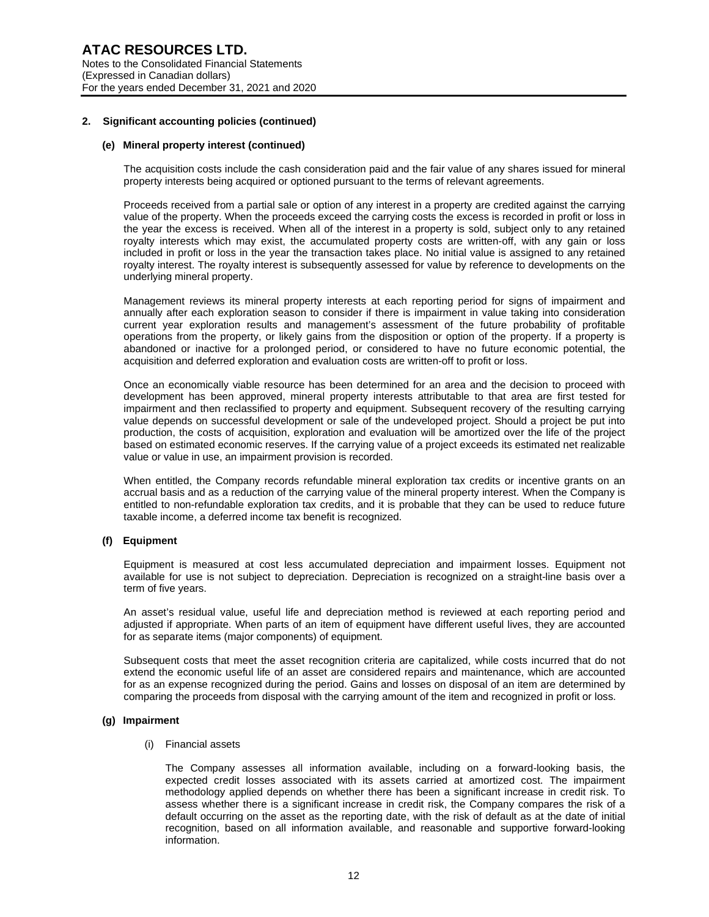#### **(e) Mineral property interest (continued)**

The acquisition costs include the cash consideration paid and the fair value of any shares issued for mineral property interests being acquired or optioned pursuant to the terms of relevant agreements.

Proceeds received from a partial sale or option of any interest in a property are credited against the carrying value of the property. When the proceeds exceed the carrying costs the excess is recorded in profit or loss in the year the excess is received. When all of the interest in a property is sold, subject only to any retained royalty interests which may exist, the accumulated property costs are written-off, with any gain or loss included in profit or loss in the year the transaction takes place. No initial value is assigned to any retained royalty interest. The royalty interest is subsequently assessed for value by reference to developments on the underlying mineral property.

Management reviews its mineral property interests at each reporting period for signs of impairment and annually after each exploration season to consider if there is impairment in value taking into consideration current year exploration results and management's assessment of the future probability of profitable operations from the property, or likely gains from the disposition or option of the property. If a property is abandoned or inactive for a prolonged period, or considered to have no future economic potential, the acquisition and deferred exploration and evaluation costs are written-off to profit or loss.

Once an economically viable resource has been determined for an area and the decision to proceed with development has been approved, mineral property interests attributable to that area are first tested for impairment and then reclassified to property and equipment. Subsequent recovery of the resulting carrying value depends on successful development or sale of the undeveloped project. Should a project be put into production, the costs of acquisition, exploration and evaluation will be amortized over the life of the project based on estimated economic reserves. If the carrying value of a project exceeds its estimated net realizable value or value in use, an impairment provision is recorded.

When entitled, the Company records refundable mineral exploration tax credits or incentive grants on an accrual basis and as a reduction of the carrying value of the mineral property interest. When the Company is entitled to non-refundable exploration tax credits, and it is probable that they can be used to reduce future taxable income, a deferred income tax benefit is recognized.

## **(f) Equipment**

Equipment is measured at cost less accumulated depreciation and impairment losses. Equipment not available for use is not subject to depreciation. Depreciation is recognized on a straight-line basis over a term of five years.

An asset's residual value, useful life and depreciation method is reviewed at each reporting period and adjusted if appropriate. When parts of an item of equipment have different useful lives, they are accounted for as separate items (major components) of equipment.

Subsequent costs that meet the asset recognition criteria are capitalized, while costs incurred that do not extend the economic useful life of an asset are considered repairs and maintenance, which are accounted for as an expense recognized during the period. Gains and losses on disposal of an item are determined by comparing the proceeds from disposal with the carrying amount of the item and recognized in profit or loss.

## **(g) Impairment**

(i) Financial assets

The Company assesses all information available, including on a forward-looking basis, the expected credit losses associated with its assets carried at amortized cost. The impairment methodology applied depends on whether there has been a significant increase in credit risk. To assess whether there is a significant increase in credit risk, the Company compares the risk of a default occurring on the asset as the reporting date, with the risk of default as at the date of initial recognition, based on all information available, and reasonable and supportive forward-looking information.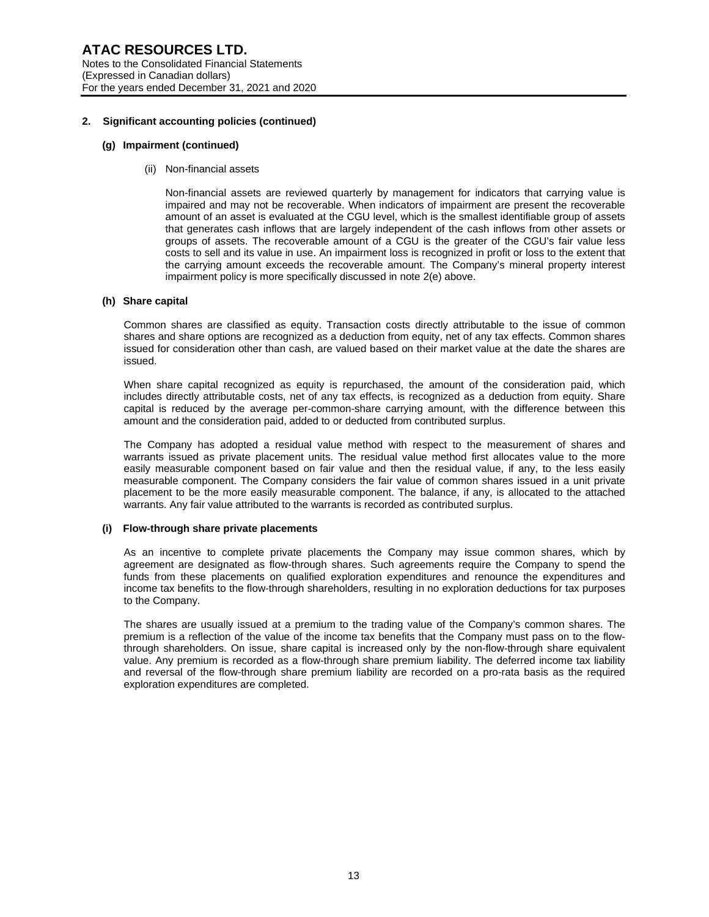## **(g) Impairment (continued)**

(ii) Non-financial assets

Non-financial assets are reviewed quarterly by management for indicators that carrying value is impaired and may not be recoverable. When indicators of impairment are present the recoverable amount of an asset is evaluated at the CGU level, which is the smallest identifiable group of assets that generates cash inflows that are largely independent of the cash inflows from other assets or groups of assets. The recoverable amount of a CGU is the greater of the CGU's fair value less costs to sell and its value in use. An impairment loss is recognized in profit or loss to the extent that the carrying amount exceeds the recoverable amount. The Company's mineral property interest impairment policy is more specifically discussed in note 2(e) above.

## **(h) Share capital**

Common shares are classified as equity. Transaction costs directly attributable to the issue of common shares and share options are recognized as a deduction from equity, net of any tax effects. Common shares issued for consideration other than cash, are valued based on their market value at the date the shares are issued.

When share capital recognized as equity is repurchased, the amount of the consideration paid, which includes directly attributable costs, net of any tax effects, is recognized as a deduction from equity. Share capital is reduced by the average per-common-share carrying amount, with the difference between this amount and the consideration paid, added to or deducted from contributed surplus.

The Company has adopted a residual value method with respect to the measurement of shares and warrants issued as private placement units. The residual value method first allocates value to the more easily measurable component based on fair value and then the residual value, if any, to the less easily measurable component. The Company considers the fair value of common shares issued in a unit private placement to be the more easily measurable component. The balance, if any, is allocated to the attached warrants. Any fair value attributed to the warrants is recorded as contributed surplus.

## **(i) Flow-through share private placements**

As an incentive to complete private placements the Company may issue common shares, which by agreement are designated as flow-through shares. Such agreements require the Company to spend the funds from these placements on qualified exploration expenditures and renounce the expenditures and income tax benefits to the flow-through shareholders, resulting in no exploration deductions for tax purposes to the Company.

The shares are usually issued at a premium to the trading value of the Company's common shares. The premium is a reflection of the value of the income tax benefits that the Company must pass on to the flowthrough shareholders. On issue, share capital is increased only by the non-flow-through share equivalent value. Any premium is recorded as a flow-through share premium liability. The deferred income tax liability and reversal of the flow-through share premium liability are recorded on a pro-rata basis as the required exploration expenditures are completed.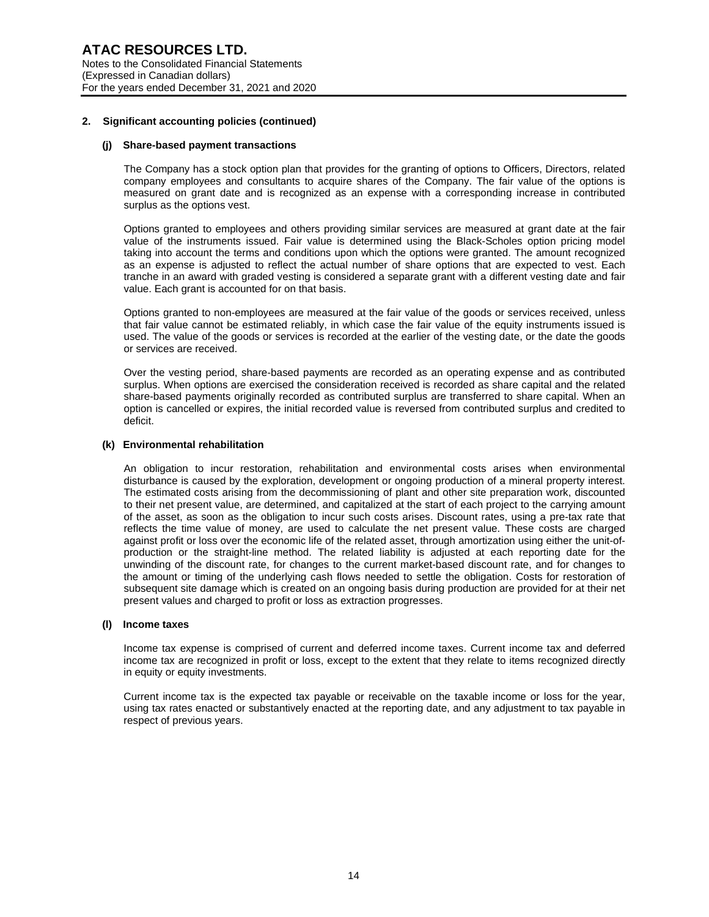#### **(j) Share-based payment transactions**

The Company has a stock option plan that provides for the granting of options to Officers, Directors, related company employees and consultants to acquire shares of the Company. The fair value of the options is measured on grant date and is recognized as an expense with a corresponding increase in contributed surplus as the options vest.

Options granted to employees and others providing similar services are measured at grant date at the fair value of the instruments issued. Fair value is determined using the Black-Scholes option pricing model taking into account the terms and conditions upon which the options were granted. The amount recognized as an expense is adjusted to reflect the actual number of share options that are expected to vest. Each tranche in an award with graded vesting is considered a separate grant with a different vesting date and fair value. Each grant is accounted for on that basis.

Options granted to non-employees are measured at the fair value of the goods or services received, unless that fair value cannot be estimated reliably, in which case the fair value of the equity instruments issued is used. The value of the goods or services is recorded at the earlier of the vesting date, or the date the goods or services are received.

Over the vesting period, share-based payments are recorded as an operating expense and as contributed surplus. When options are exercised the consideration received is recorded as share capital and the related share-based payments originally recorded as contributed surplus are transferred to share capital. When an option is cancelled or expires, the initial recorded value is reversed from contributed surplus and credited to deficit.

#### **(k) Environmental rehabilitation**

An obligation to incur restoration, rehabilitation and environmental costs arises when environmental disturbance is caused by the exploration, development or ongoing production of a mineral property interest. The estimated costs arising from the decommissioning of plant and other site preparation work, discounted to their net present value, are determined, and capitalized at the start of each project to the carrying amount of the asset, as soon as the obligation to incur such costs arises. Discount rates, using a pre-tax rate that reflects the time value of money, are used to calculate the net present value. These costs are charged against profit or loss over the economic life of the related asset, through amortization using either the unit-ofproduction or the straight-line method. The related liability is adjusted at each reporting date for the unwinding of the discount rate, for changes to the current market-based discount rate, and for changes to the amount or timing of the underlying cash flows needed to settle the obligation. Costs for restoration of subsequent site damage which is created on an ongoing basis during production are provided for at their net present values and charged to profit or loss as extraction progresses.

#### **(l) Income taxes**

Income tax expense is comprised of current and deferred income taxes. Current income tax and deferred income tax are recognized in profit or loss, except to the extent that they relate to items recognized directly in equity or equity investments.

Current income tax is the expected tax payable or receivable on the taxable income or loss for the year, using tax rates enacted or substantively enacted at the reporting date, and any adjustment to tax payable in respect of previous years.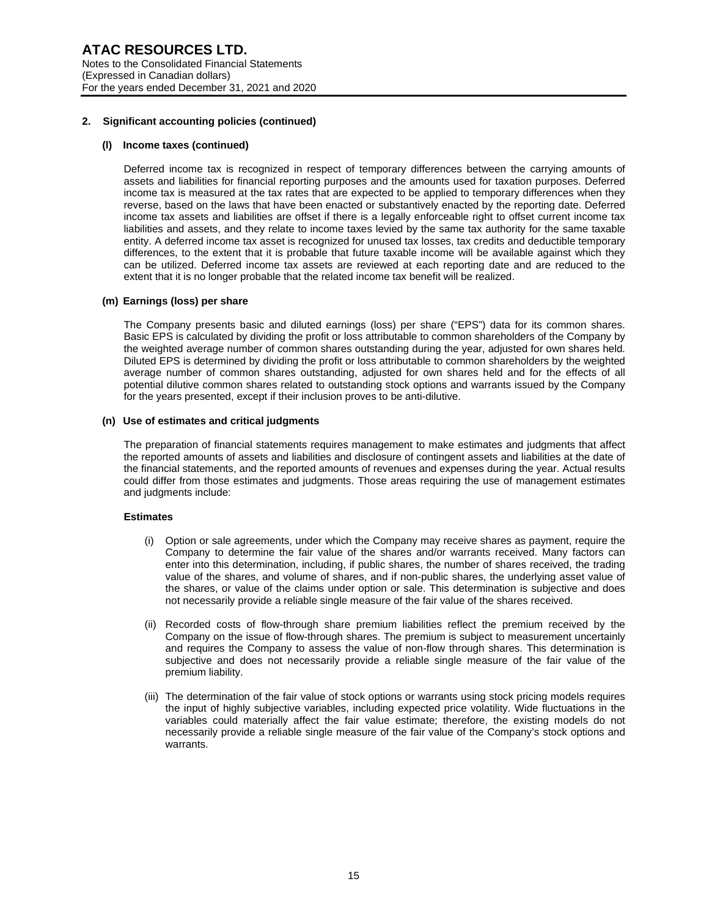## **(l) Income taxes (continued)**

Deferred income tax is recognized in respect of temporary differences between the carrying amounts of assets and liabilities for financial reporting purposes and the amounts used for taxation purposes. Deferred income tax is measured at the tax rates that are expected to be applied to temporary differences when they reverse, based on the laws that have been enacted or substantively enacted by the reporting date. Deferred income tax assets and liabilities are offset if there is a legally enforceable right to offset current income tax liabilities and assets, and they relate to income taxes levied by the same tax authority for the same taxable entity. A deferred income tax asset is recognized for unused tax losses, tax credits and deductible temporary differences, to the extent that it is probable that future taxable income will be available against which they can be utilized. Deferred income tax assets are reviewed at each reporting date and are reduced to the extent that it is no longer probable that the related income tax benefit will be realized.

#### **(m) Earnings (loss) per share**

The Company presents basic and diluted earnings (loss) per share ("EPS") data for its common shares. Basic EPS is calculated by dividing the profit or loss attributable to common shareholders of the Company by the weighted average number of common shares outstanding during the year, adjusted for own shares held. Diluted EPS is determined by dividing the profit or loss attributable to common shareholders by the weighted average number of common shares outstanding, adjusted for own shares held and for the effects of all potential dilutive common shares related to outstanding stock options and warrants issued by the Company for the years presented, except if their inclusion proves to be anti-dilutive.

#### **(n) Use of estimates and critical judgments**

The preparation of financial statements requires management to make estimates and judgments that affect the reported amounts of assets and liabilities and disclosure of contingent assets and liabilities at the date of the financial statements, and the reported amounts of revenues and expenses during the year. Actual results could differ from those estimates and judgments. Those areas requiring the use of management estimates and judgments include:

## **Estimates**

- (i) Option or sale agreements, under which the Company may receive shares as payment, require the Company to determine the fair value of the shares and/or warrants received. Many factors can enter into this determination, including, if public shares, the number of shares received, the trading value of the shares, and volume of shares, and if non-public shares, the underlying asset value of the shares, or value of the claims under option or sale. This determination is subjective and does not necessarily provide a reliable single measure of the fair value of the shares received.
- (ii) Recorded costs of flow-through share premium liabilities reflect the premium received by the Company on the issue of flow-through shares. The premium is subject to measurement uncertainly and requires the Company to assess the value of non-flow through shares. This determination is subjective and does not necessarily provide a reliable single measure of the fair value of the premium liability.
- (iii) The determination of the fair value of stock options or warrants using stock pricing models requires the input of highly subjective variables, including expected price volatility. Wide fluctuations in the variables could materially affect the fair value estimate; therefore, the existing models do not necessarily provide a reliable single measure of the fair value of the Company's stock options and warrants.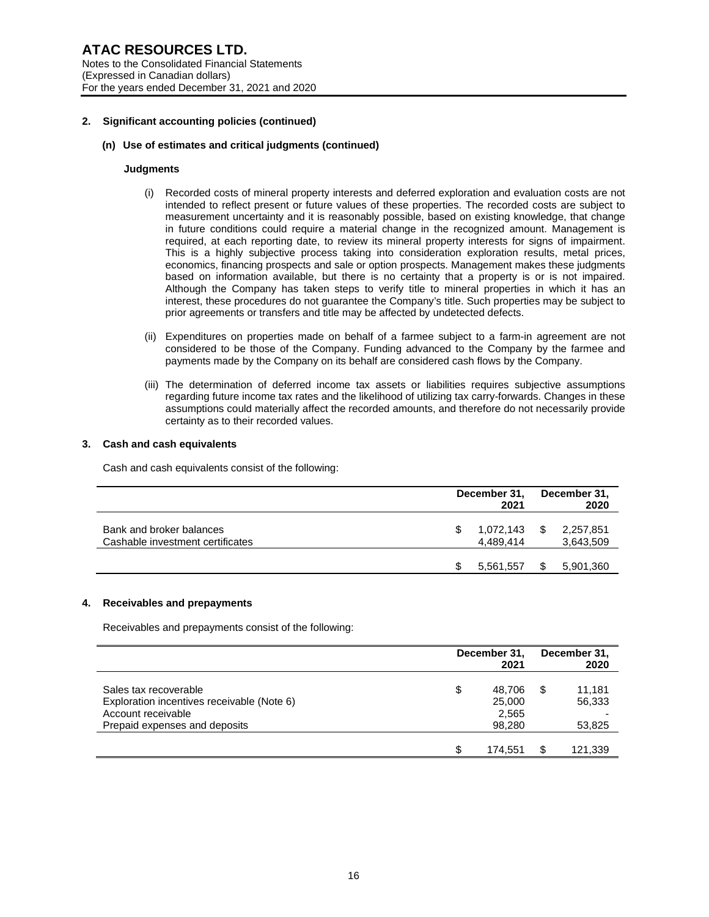#### **(n) Use of estimates and critical judgments (continued)**

#### **Judgments**

- (i) Recorded costs of mineral property interests and deferred exploration and evaluation costs are not intended to reflect present or future values of these properties. The recorded costs are subject to measurement uncertainty and it is reasonably possible, based on existing knowledge, that change in future conditions could require a material change in the recognized amount. Management is required, at each reporting date, to review its mineral property interests for signs of impairment. This is a highly subjective process taking into consideration exploration results, metal prices, economics, financing prospects and sale or option prospects. Management makes these judgments based on information available, but there is no certainty that a property is or is not impaired. Although the Company has taken steps to verify title to mineral properties in which it has an interest, these procedures do not guarantee the Company's title. Such properties may be subject to prior agreements or transfers and title may be affected by undetected defects.
- (ii) Expenditures on properties made on behalf of a farmee subject to a farm-in agreement are not considered to be those of the Company. Funding advanced to the Company by the farmee and payments made by the Company on its behalf are considered cash flows by the Company.
- (iii) The determination of deferred income tax assets or liabilities requires subjective assumptions regarding future income tax rates and the likelihood of utilizing tax carry-forwards. Changes in these assumptions could materially affect the recorded amounts, and therefore do not necessarily provide certainty as to their recorded values.

#### **3. Cash and cash equivalents**

Cash and cash equivalents consist of the following:

|                                                              |   | December 31,<br>2021   | December 31,<br>2020         |
|--------------------------------------------------------------|---|------------------------|------------------------------|
| Bank and broker balances<br>Cashable investment certificates | S | 1.072.143<br>4,489,414 | \$<br>2,257,851<br>3,643,509 |
|                                                              |   | 5,561,557              | 5,901,360                    |

#### **4. Receivables and prepayments**

Receivables and prepayments consist of the following:

|                                                                                                                            | December 31,<br>2021                      | December 31,<br>2020             |
|----------------------------------------------------------------------------------------------------------------------------|-------------------------------------------|----------------------------------|
| Sales tax recoverable<br>Exploration incentives receivable (Note 6)<br>Account receivable<br>Prepaid expenses and deposits | \$<br>48.706<br>25,000<br>2,565<br>98,280 | \$<br>11,181<br>56,333<br>53,825 |
|                                                                                                                            | 174.551                                   | \$<br>121,339                    |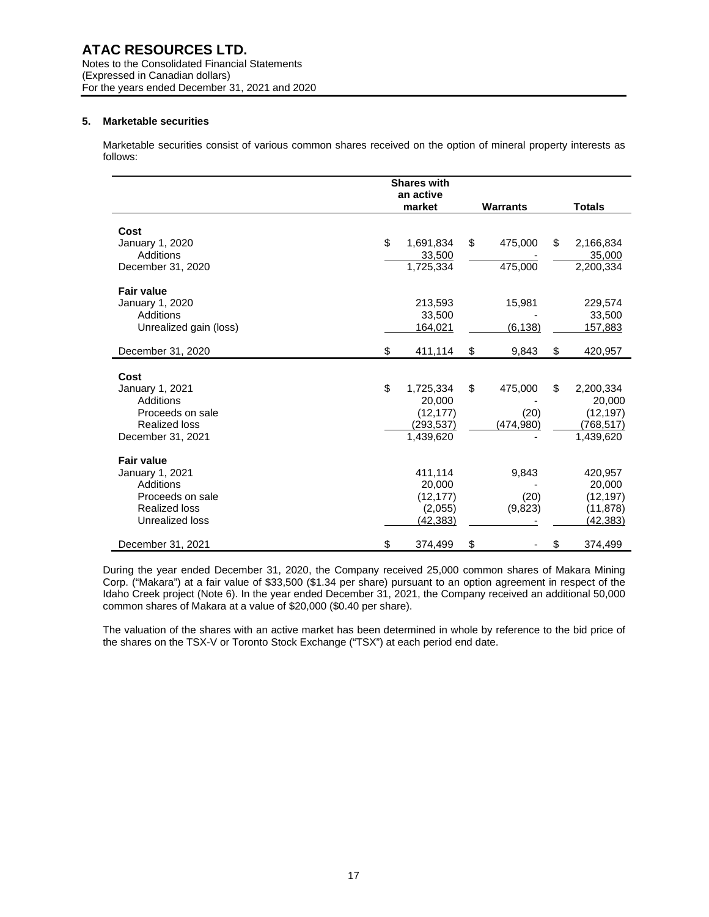## **5. Marketable securities**

Marketable securities consist of various common shares received on the option of mineral property interests as follows:

|                              | <b>Shares with</b><br>an active<br>market<br><b>Warrants</b> |                     |    |           |    |                     |  |  |
|------------------------------|--------------------------------------------------------------|---------------------|----|-----------|----|---------------------|--|--|
|                              |                                                              |                     |    |           |    | <b>Totals</b>       |  |  |
| Cost                         |                                                              |                     |    |           |    |                     |  |  |
| January 1, 2020<br>Additions | \$                                                           | 1,691,834           | \$ | 475,000   | \$ | 2,166,834           |  |  |
| December 31, 2020            |                                                              | 33,500<br>1,725,334 |    | 475,000   |    | 35,000<br>2,200,334 |  |  |
| <b>Fair value</b>            |                                                              |                     |    |           |    |                     |  |  |
| January 1, 2020              |                                                              | 213,593             |    | 15,981    |    | 229,574             |  |  |
| Additions                    |                                                              | 33,500              |    |           |    | 33,500              |  |  |
| Unrealized gain (loss)       |                                                              | 164,021             |    | (6, 138)  |    | 157,883             |  |  |
| December 31, 2020            | \$                                                           | 411,114             | \$ | 9,843     | \$ | 420,957             |  |  |
| Cost                         |                                                              |                     |    |           |    |                     |  |  |
| January 1, 2021              | \$                                                           | 1,725,334           | \$ | 475,000   | \$ | 2,200,334           |  |  |
| Additions                    |                                                              | 20,000              |    |           |    | 20,000              |  |  |
| Proceeds on sale             |                                                              | (12, 177)           |    | (20)      |    | (12, 197)           |  |  |
| <b>Realized loss</b>         |                                                              | <u>(293,537)</u>    |    | (474,980) |    | (768, 517)          |  |  |
| December 31, 2021            |                                                              | 1,439,620           |    |           |    | 1,439,620           |  |  |
| <b>Fair value</b>            |                                                              |                     |    |           |    |                     |  |  |
| January 1, 2021              |                                                              | 411,114             |    | 9,843     |    | 420,957             |  |  |
| Additions                    |                                                              | 20,000              |    |           |    | 20,000              |  |  |
| Proceeds on sale             |                                                              | (12, 177)           |    | (20)      |    | (12, 197)           |  |  |
| Realized loss                |                                                              | (2,055)             |    | (9,823)   |    | (11, 878)           |  |  |
| Unrealized loss              |                                                              | (42, 383)           |    |           |    | (42,383)            |  |  |
| December 31, 2021            | \$                                                           | 374,499             | \$ |           | \$ | 374,499             |  |  |

During the year ended December 31, 2020, the Company received 25,000 common shares of Makara Mining Corp. ("Makara") at a fair value of \$33,500 (\$1.34 per share) pursuant to an option agreement in respect of the Idaho Creek project (Note 6). In the year ended December 31, 2021, the Company received an additional 50,000 common shares of Makara at a value of \$20,000 (\$0.40 per share).

The valuation of the shares with an active market has been determined in whole by reference to the bid price of the shares on the TSX-V or Toronto Stock Exchange ("TSX") at each period end date.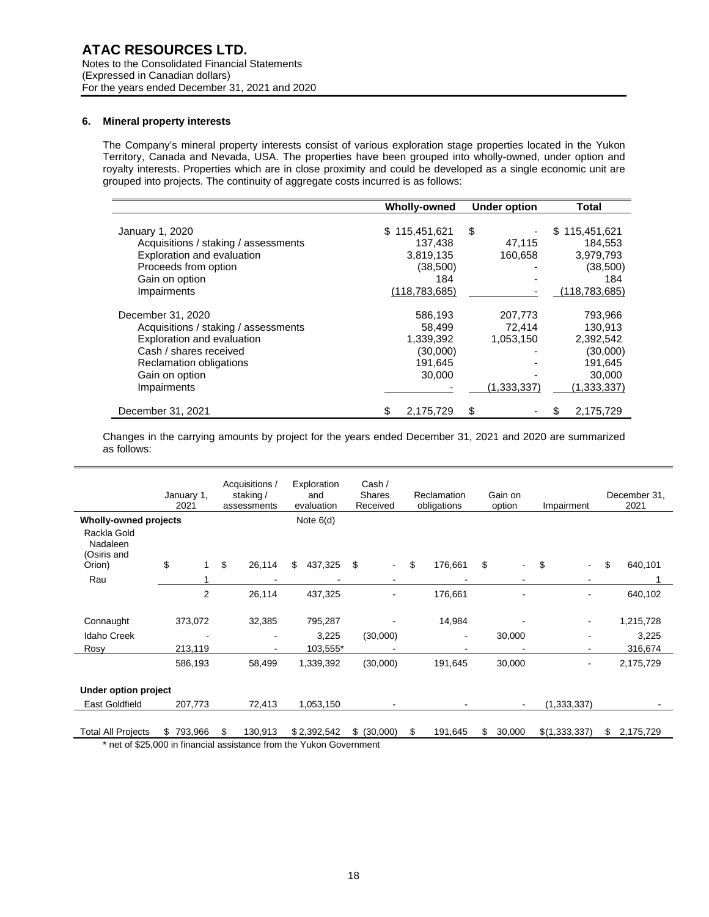## **6. Mineral property interests**

The Company's mineral property interests consist of various exploration stage properties located in the Yukon Territory, Canada and Nevada, USA. The properties have been grouped into wholly-owned, under option and royalty interests. Properties which are in close proximity and could be developed as a single economic unit are grouped into projects. The continuity of aggregate costs incurred is as follows:

|                                      | <b>Wholly-owned</b> | <b>Under option</b> | <b>Total</b>    |
|--------------------------------------|---------------------|---------------------|-----------------|
|                                      |                     |                     |                 |
| January 1, 2020                      | \$115,451,621       | \$                  | \$115,451,621   |
| Acquisitions / staking / assessments | 137,438             | 47,115              | 184.553         |
| Exploration and evaluation           | 3,819,135           | 160,658             | 3,979,793       |
| Proceeds from option                 | (38,500)            |                     | (38,500)        |
| Gain on option                       | 184                 |                     | 184             |
| Impairments                          | (118, 783, 685)     |                     | (118, 783, 685) |
|                                      |                     |                     |                 |
| December 31, 2020                    | 586,193             | 207,773             | 793,966         |
| Acquisitions / staking / assessments | 58.499              | 72.414              | 130.913         |
| Exploration and evaluation           | 1,339,392           | 1,053,150           | 2,392,542       |
| Cash / shares received               | (30,000)            |                     | (30,000)        |
| <b>Reclamation obligations</b>       | 191,645             |                     | 191,645         |
| Gain on option                       | 30,000              |                     | 30,000          |
| Impairments                          |                     | (1,333,337)         | (1, 333, 337)   |
|                                      |                     |                     |                 |
| December 31, 2021                    | 2,175,729           | \$                  | 2,175,729       |

Changes in the carrying amounts by project for the years ended December 31, 2021 and 2020 are summarized as follows:

|                                                                     | January 1,<br>2021 |                |    | Acquisitions /<br>staking /<br>assessments |    | Exploration<br>and<br>evaluation |    | Cash /<br><b>Shares</b><br>Received |    | Reclamation<br>obligations |    | Gain on<br>option | Impairment |                          |    | December 31,<br>2021 |
|---------------------------------------------------------------------|--------------------|----------------|----|--------------------------------------------|----|----------------------------------|----|-------------------------------------|----|----------------------------|----|-------------------|------------|--------------------------|----|----------------------|
| <b>Wholly-owned projects</b>                                        |                    |                |    |                                            |    | Note $6(d)$                      |    |                                     |    |                            |    |                   |            |                          |    |                      |
| Rackla Gold<br>Nadaleen<br>(Osiris and                              |                    |                |    |                                            |    |                                  |    |                                     |    |                            |    |                   |            |                          |    |                      |
| Orion)                                                              | \$                 |                | \$ | 26,114                                     | \$ | 437,325                          | \$ |                                     | \$ | 176,661                    | \$ |                   | \$         | $\overline{\phantom{0}}$ | \$ | 640,101              |
| Rau                                                                 |                    |                |    |                                            |    |                                  |    |                                     |    |                            |    |                   |            |                          |    |                      |
|                                                                     |                    | $\overline{2}$ |    | 26,114                                     |    | 437,325                          |    |                                     |    | 176,661                    |    |                   |            |                          |    | 640,102              |
| Connaught                                                           | 373,072            |                |    | 32,385                                     |    | 795,287                          |    |                                     |    | 14,984                     |    |                   |            | $\overline{\phantom{a}}$ |    | 1,215,728            |
| <b>Idaho Creek</b>                                                  |                    |                |    |                                            |    | 3,225                            |    | (30,000)                            |    |                            |    | 30,000            |            |                          |    | 3,225                |
| Rosy                                                                | 213,119            |                |    |                                            |    | 103,555*                         |    |                                     |    |                            |    |                   |            |                          |    | 316,674              |
|                                                                     | 586,193            |                |    | 58,499                                     |    | 1,339,392                        |    | (30,000)                            |    | 191,645                    |    | 30,000            |            | $\sim$                   |    | 2,175,729            |
| Under option project                                                |                    |                |    |                                            |    |                                  |    |                                     |    |                            |    |                   |            |                          |    |                      |
| East Goldfield                                                      | 207,773            |                |    | 72,413                                     |    | 1,053,150                        |    |                                     |    |                            |    |                   |            | (1,333,337)              |    |                      |
|                                                                     |                    |                |    |                                            |    |                                  |    |                                     |    |                            |    |                   |            |                          |    |                      |
| <b>Total All Projects</b>                                           | \$793,966          |                | S  | 130,913                                    |    | \$2,392,542                      |    | \$ (30,000)                         | \$ | 191,645                    | \$ | 30,000            |            | \$(1,333,337)            | -S | 2,175,729            |
| * net of \$25,000 in financial assistance from the Yukon Government |                    |                |    |                                            |    |                                  |    |                                     |    |                            |    |                   |            |                          |    |                      |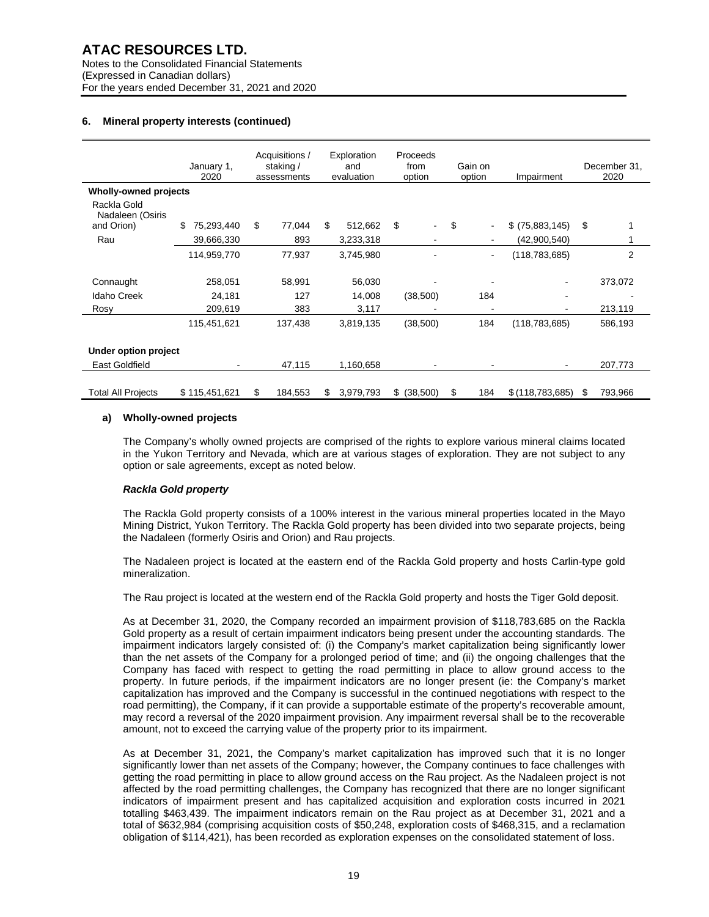|                                 | January 1,<br>2020 | Acquisitions /<br>staking/<br>assessments |         | Exploration<br>and<br>evaluation | Proceeds<br>from<br>option |    | Gain on<br>option |    | Impairment     |                   | December 31,<br>2020 |                |
|---------------------------------|--------------------|-------------------------------------------|---------|----------------------------------|----------------------------|----|-------------------|----|----------------|-------------------|----------------------|----------------|
| <b>Wholly-owned projects</b>    |                    |                                           |         |                                  |                            |    |                   |    |                |                   |                      |                |
| Rackla Gold<br>Nadaleen (Osiris |                    |                                           |         |                                  |                            |    |                   |    |                |                   |                      |                |
| and Orion)                      | \$<br>75,293,440   | \$                                        | 77,044  | \$                               | 512,662                    | \$ | $\blacksquare$    | \$ |                | \$ (75,883,145)   | \$                   |                |
| Rau                             | 39,666,330         |                                           | 893     |                                  | 3,233,318                  |    |                   |    |                | (42,900,540)      |                      |                |
|                                 | 114,959,770        |                                           | 77,937  |                                  | 3,745,980                  |    | $\blacksquare$    |    | $\blacksquare$ | (118, 783, 685)   |                      | $\overline{2}$ |
| Connaught                       | 258,051            |                                           | 58,991  |                                  | 56,030                     |    |                   |    |                |                   |                      | 373,072        |
| <b>Idaho Creek</b>              | 24,181             |                                           | 127     |                                  | 14,008                     |    | (38,500)          |    | 184            |                   |                      |                |
| Rosy                            | 209,619            |                                           | 383     |                                  | 3,117                      |    |                   |    |                | ۰                 |                      | 213,119        |
|                                 | 115,451,621        |                                           | 137,438 |                                  | 3,819,135                  |    | (38, 500)         |    | 184            | (118, 783, 685)   |                      | 586,193        |
| Under option project            |                    |                                           |         |                                  |                            |    |                   |    |                |                   |                      |                |
| East Goldfield                  |                    |                                           | 47,115  |                                  | 1,160,658                  |    |                   |    |                |                   |                      | 207,773        |
|                                 |                    |                                           |         |                                  |                            |    |                   |    |                |                   |                      |                |
| <b>Total All Projects</b>       | \$115,451,621      | S                                         | 184,553 | \$                               | 3,979,793                  |    | \$<br>(38,500)    | S  | 184            | \$(118, 783, 685) | \$.                  | 793,966        |

## **a) Wholly-owned projects**

The Company's wholly owned projects are comprised of the rights to explore various mineral claims located in the Yukon Territory and Nevada, which are at various stages of exploration. They are not subject to any option or sale agreements, except as noted below.

## *Rackla Gold property*

The Rackla Gold property consists of a 100% interest in the various mineral properties located in the Mayo Mining District, Yukon Territory. The Rackla Gold property has been divided into two separate projects, being the Nadaleen (formerly Osiris and Orion) and Rau projects.

The Nadaleen project is located at the eastern end of the Rackla Gold property and hosts Carlin-type gold mineralization.

The Rau project is located at the western end of the Rackla Gold property and hosts the Tiger Gold deposit.

As at December 31, 2020, the Company recorded an impairment provision of \$118,783,685 on the Rackla Gold property as a result of certain impairment indicators being present under the accounting standards. The impairment indicators largely consisted of: (i) the Company's market capitalization being significantly lower than the net assets of the Company for a prolonged period of time; and (ii) the ongoing challenges that the Company has faced with respect to getting the road permitting in place to allow ground access to the property. In future periods, if the impairment indicators are no longer present (ie: the Company's market capitalization has improved and the Company is successful in the continued negotiations with respect to the road permitting), the Company, if it can provide a supportable estimate of the property's recoverable amount, may record a reversal of the 2020 impairment provision. Any impairment reversal shall be to the recoverable amount, not to exceed the carrying value of the property prior to its impairment.

As at December 31, 2021, the Company's market capitalization has improved such that it is no longer significantly lower than net assets of the Company; however, the Company continues to face challenges with getting the road permitting in place to allow ground access on the Rau project. As the Nadaleen project is not affected by the road permitting challenges, the Company has recognized that there are no longer significant indicators of impairment present and has capitalized acquisition and exploration costs incurred in 2021 totalling \$463,439. The impairment indicators remain on the Rau project as at December 31, 2021 and a total of \$632,984 (comprising acquisition costs of \$50,248, exploration costs of \$468,315, and a reclamation obligation of \$114,421), has been recorded as exploration expenses on the consolidated statement of loss.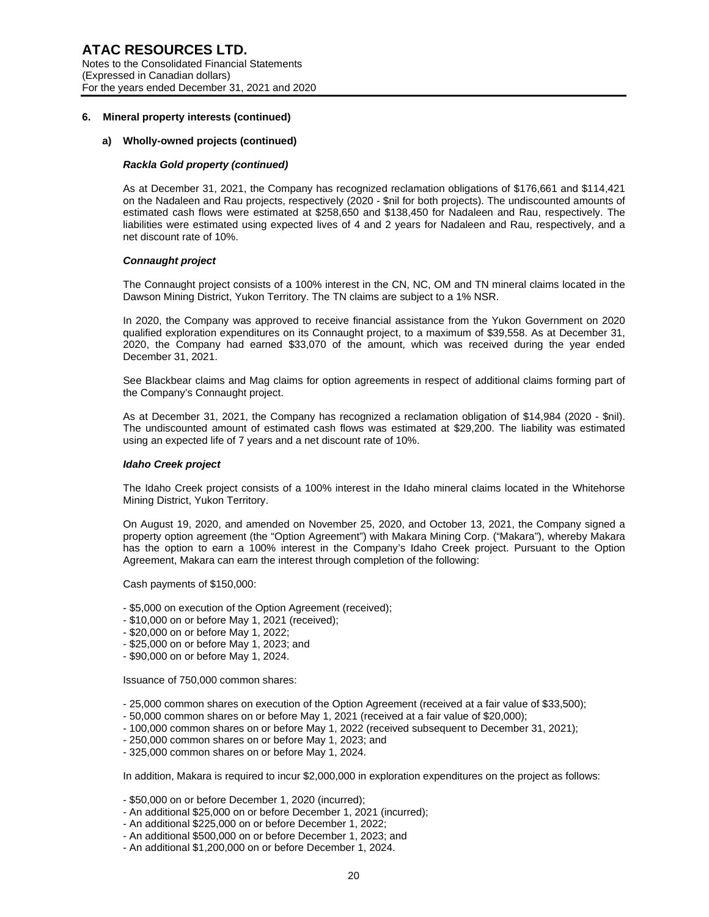#### **a) Wholly-owned projects (continued)**

#### *Rackla Gold property (continued)*

As at December 31, 2021, the Company has recognized reclamation obligations of \$176,661 and \$114,421 on the Nadaleen and Rau projects, respectively (2020 - \$nil for both projects). The undiscounted amounts of estimated cash flows were estimated at \$258,650 and \$138,450 for Nadaleen and Rau, respectively. The liabilities were estimated using expected lives of 4 and 2 years for Nadaleen and Rau, respectively, and a net discount rate of 10%.

#### *Connaught project*

The Connaught project consists of a 100% interest in the CN, NC, OM and TN mineral claims located in the Dawson Mining District, Yukon Territory. The TN claims are subject to a 1% NSR.

In 2020, the Company was approved to receive financial assistance from the Yukon Government on 2020 qualified exploration expenditures on its Connaught project, to a maximum of \$39,558. As at December 31, 2020, the Company had earned \$33,070 of the amount, which was received during the year ended December 31, 2021.

See Blackbear claims and Mag claims for option agreements in respect of additional claims forming part of the Company's Connaught project.

As at December 31, 2021, the Company has recognized a reclamation obligation of \$14,984 (2020 - \$nil). The undiscounted amount of estimated cash flows was estimated at \$29,200. The liability was estimated using an expected life of 7 years and a net discount rate of 10%.

#### *Idaho Creek project*

The Idaho Creek project consists of a 100% interest in the Idaho mineral claims located in the Whitehorse Mining District, Yukon Territory.

On August 19, 2020, and amended on November 25, 2020, and October 13, 2021, the Company signed a property option agreement (the "Option Agreement") with Makara Mining Corp. ("Makara"), whereby Makara has the option to earn a 100% interest in the Company's Idaho Creek project. Pursuant to the Option Agreement, Makara can earn the interest through completion of the following:

Cash payments of \$150,000:

- \$5,000 on execution of the Option Agreement (received);
- \$10,000 on or before May 1, 2021 (received);
- \$20,000 on or before May 1, 2022;
- \$25,000 on or before May 1, 2023; and
- \$90,000 on or before May 1, 2024.

Issuance of 750,000 common shares:

- 25,000 common shares on execution of the Option Agreement (received at a fair value of \$33,500);
- 50,000 common shares on or before May 1, 2021 (received at a fair value of \$20,000);
- 100,000 common shares on or before May 1, 2022 (received subsequent to December 31, 2021);
- 250,000 common shares on or before May 1, 2023; and
- 325,000 common shares on or before May 1, 2024.

In addition, Makara is required to incur \$2,000,000 in exploration expenditures on the project as follows:

- \$50,000 on or before December 1, 2020 (incurred);
- An additional \$25,000 on or before December 1, 2021 (incurred);
- An additional \$225,000 on or before December 1, 2022;
- An additional \$500,000 on or before December 1, 2023; and
- An additional \$1,200,000 on or before December 1, 2024.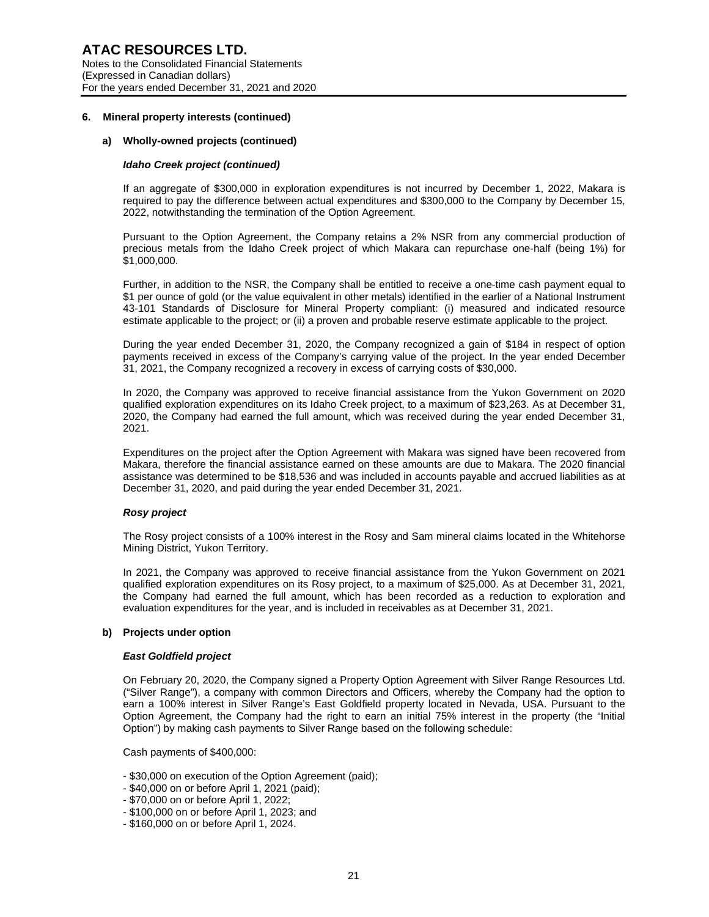#### **a) Wholly-owned projects (continued)**

#### *Idaho Creek project (continued)*

If an aggregate of \$300,000 in exploration expenditures is not incurred by December 1, 2022, Makara is required to pay the difference between actual expenditures and \$300,000 to the Company by December 15, 2022, notwithstanding the termination of the Option Agreement.

Pursuant to the Option Agreement, the Company retains a 2% NSR from any commercial production of precious metals from the Idaho Creek project of which Makara can repurchase one-half (being 1%) for \$1,000,000.

Further, in addition to the NSR, the Company shall be entitled to receive a one-time cash payment equal to \$1 per ounce of gold (or the value equivalent in other metals) identified in the earlier of a National Instrument 43-101 Standards of Disclosure for Mineral Property compliant: (i) measured and indicated resource estimate applicable to the project; or (ii) a proven and probable reserve estimate applicable to the project.

During the year ended December 31, 2020, the Company recognized a gain of \$184 in respect of option payments received in excess of the Company's carrying value of the project. In the year ended December 31, 2021, the Company recognized a recovery in excess of carrying costs of \$30,000.

In 2020, the Company was approved to receive financial assistance from the Yukon Government on 2020 qualified exploration expenditures on its Idaho Creek project, to a maximum of \$23,263. As at December 31, 2020, the Company had earned the full amount, which was received during the year ended December 31, 2021.

Expenditures on the project after the Option Agreement with Makara was signed have been recovered from Makara, therefore the financial assistance earned on these amounts are due to Makara. The 2020 financial assistance was determined to be \$18,536 and was included in accounts payable and accrued liabilities as at December 31, 2020, and paid during the year ended December 31, 2021.

## *Rosy project*

The Rosy project consists of a 100% interest in the Rosy and Sam mineral claims located in the Whitehorse Mining District, Yukon Territory.

In 2021, the Company was approved to receive financial assistance from the Yukon Government on 2021 qualified exploration expenditures on its Rosy project, to a maximum of \$25,000. As at December 31, 2021, the Company had earned the full amount, which has been recorded as a reduction to exploration and evaluation expenditures for the year, and is included in receivables as at December 31, 2021.

#### **b) Projects under option**

#### *East Goldfield project*

On February 20, 2020, the Company signed a Property Option Agreement with Silver Range Resources Ltd. ("Silver Range"), a company with common Directors and Officers, whereby the Company had the option to earn a 100% interest in Silver Range's East Goldfield property located in Nevada, USA. Pursuant to the Option Agreement, the Company had the right to earn an initial 75% interest in the property (the "Initial Option") by making cash payments to Silver Range based on the following schedule:

Cash payments of \$400,000:

- \$30,000 on execution of the Option Agreement (paid);
- \$40,000 on or before April 1, 2021 (paid);
- \$70,000 on or before April 1, 2022;
- \$100,000 on or before April 1, 2023; and
- \$160,000 on or before April 1, 2024.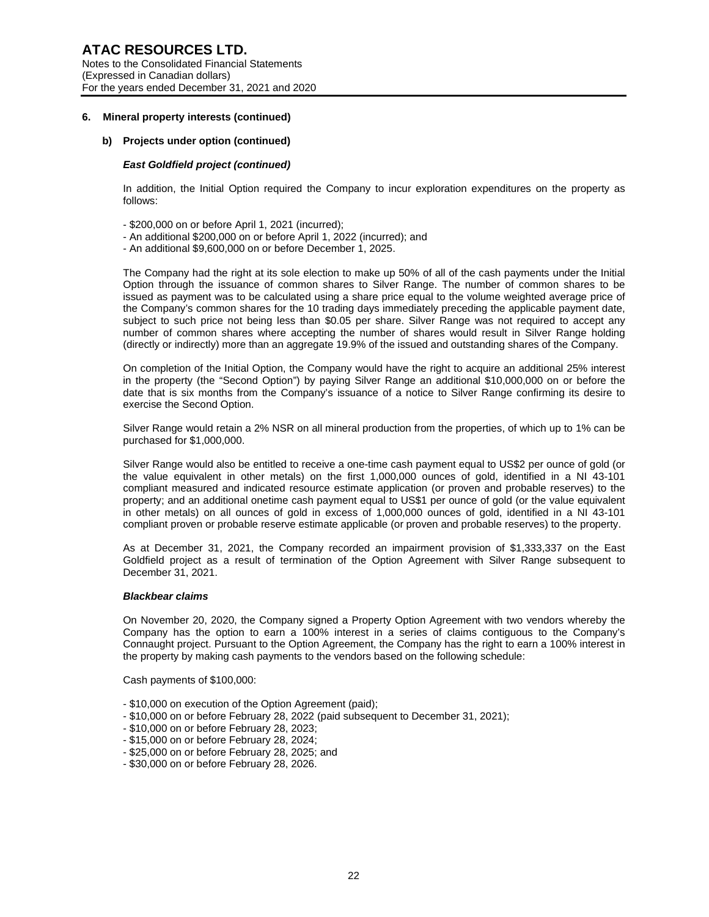## **b) Projects under option (continued)**

#### *East Goldfield project (continued)*

In addition, the Initial Option required the Company to incur exploration expenditures on the property as follows:

- \$200,000 on or before April 1, 2021 (incurred);
- An additional \$200,000 on or before April 1, 2022 (incurred); and
- An additional \$9,600,000 on or before December 1, 2025.

The Company had the right at its sole election to make up 50% of all of the cash payments under the Initial Option through the issuance of common shares to Silver Range. The number of common shares to be issued as payment was to be calculated using a share price equal to the volume weighted average price of the Company's common shares for the 10 trading days immediately preceding the applicable payment date, subject to such price not being less than \$0.05 per share. Silver Range was not required to accept any number of common shares where accepting the number of shares would result in Silver Range holding (directly or indirectly) more than an aggregate 19.9% of the issued and outstanding shares of the Company.

On completion of the Initial Option, the Company would have the right to acquire an additional 25% interest in the property (the "Second Option") by paying Silver Range an additional \$10,000,000 on or before the date that is six months from the Company's issuance of a notice to Silver Range confirming its desire to exercise the Second Option.

Silver Range would retain a 2% NSR on all mineral production from the properties, of which up to 1% can be purchased for \$1,000,000.

Silver Range would also be entitled to receive a one-time cash payment equal to US\$2 per ounce of gold (or the value equivalent in other metals) on the first 1,000,000 ounces of gold, identified in a NI 43-101 compliant measured and indicated resource estimate application (or proven and probable reserves) to the property; and an additional onetime cash payment equal to US\$1 per ounce of gold (or the value equivalent in other metals) on all ounces of gold in excess of 1,000,000 ounces of gold, identified in a NI 43-101 compliant proven or probable reserve estimate applicable (or proven and probable reserves) to the property.

As at December 31, 2021, the Company recorded an impairment provision of \$1,333,337 on the East Goldfield project as a result of termination of the Option Agreement with Silver Range subsequent to December 31, 2021.

#### *Blackbear claims*

On November 20, 2020, the Company signed a Property Option Agreement with two vendors whereby the Company has the option to earn a 100% interest in a series of claims contiguous to the Company's Connaught project. Pursuant to the Option Agreement, the Company has the right to earn a 100% interest in the property by making cash payments to the vendors based on the following schedule:

Cash payments of \$100,000:

- \$10,000 on execution of the Option Agreement (paid);
- \$10,000 on or before February 28, 2022 (paid subsequent to December 31, 2021);
- \$10,000 on or before February 28, 2023;
- \$15,000 on or before February 28, 2024;
- \$25,000 on or before February 28, 2025; and
- \$30,000 on or before February 28, 2026.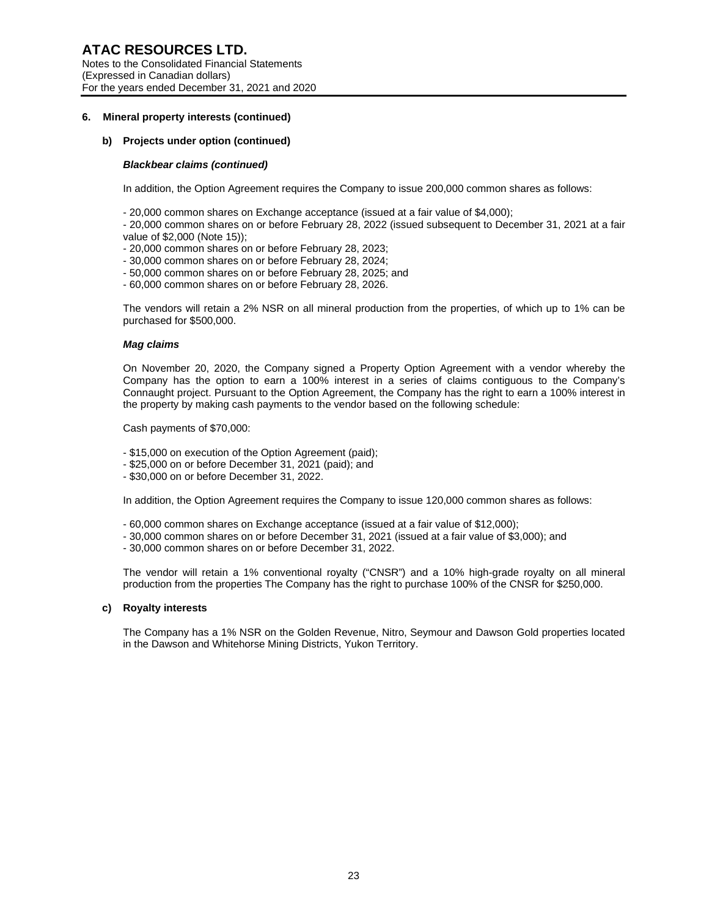#### **b) Projects under option (continued)**

#### *Blackbear claims (continued)*

In addition, the Option Agreement requires the Company to issue 200,000 common shares as follows:

- 20,000 common shares on Exchange acceptance (issued at a fair value of \$4,000);

- 20,000 common shares on or before February 28, 2022 (issued subsequent to December 31, 2021 at a fair value of \$2,000 (Note 15));

- 20,000 common shares on or before February 28, 2023;
- 30,000 common shares on or before February 28, 2024;
- 50,000 common shares on or before February 28, 2025; and
- 60,000 common shares on or before February 28, 2026.

The vendors will retain a 2% NSR on all mineral production from the properties, of which up to 1% can be purchased for \$500,000.

#### *Mag claims*

On November 20, 2020, the Company signed a Property Option Agreement with a vendor whereby the Company has the option to earn a 100% interest in a series of claims contiguous to the Company's Connaught project. Pursuant to the Option Agreement, the Company has the right to earn a 100% interest in the property by making cash payments to the vendor based on the following schedule:

Cash payments of \$70,000:

- \$15,000 on execution of the Option Agreement (paid);
- \$25,000 on or before December 31, 2021 (paid); and
- \$30,000 on or before December 31, 2022.

In addition, the Option Agreement requires the Company to issue 120,000 common shares as follows:

- 60,000 common shares on Exchange acceptance (issued at a fair value of \$12,000);
- 30,000 common shares on or before December 31, 2021 (issued at a fair value of \$3,000); and
- 30,000 common shares on or before December 31, 2022.

The vendor will retain a 1% conventional royalty ("CNSR") and a 10% high-grade royalty on all mineral production from the properties The Company has the right to purchase 100% of the CNSR for \$250,000.

#### **c) Royalty interests**

The Company has a 1% NSR on the Golden Revenue, Nitro, Seymour and Dawson Gold properties located in the Dawson and Whitehorse Mining Districts, Yukon Territory.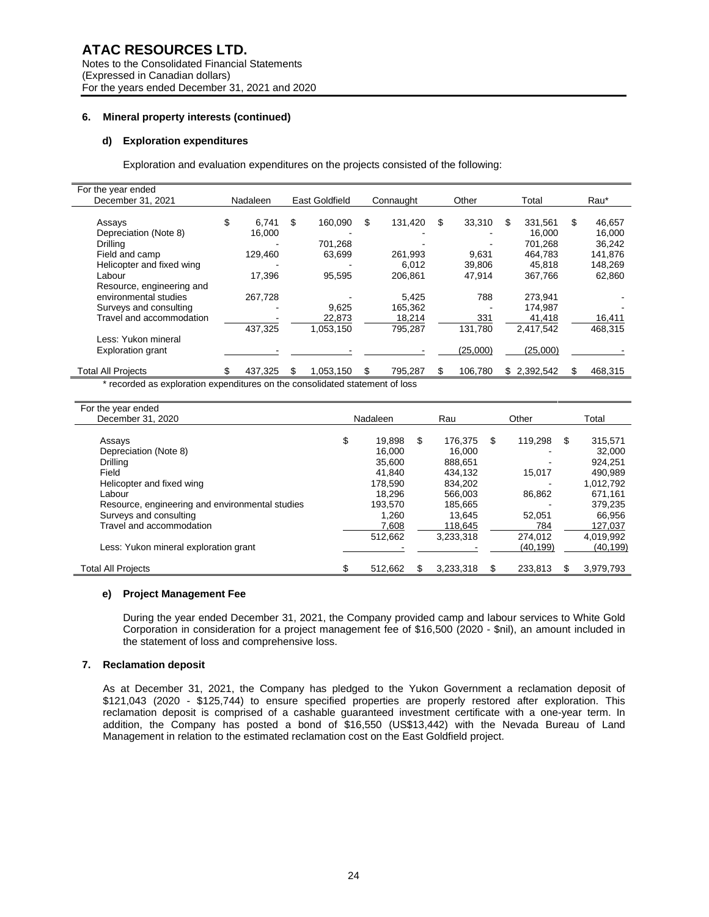#### **d) Exploration expenditures**

Exploration and evaluation expenditures on the projects consisted of the following:

| For the year ended                                                                                                |             |                |           |           |         |       |          |               |   |         |
|-------------------------------------------------------------------------------------------------------------------|-------------|----------------|-----------|-----------|---------|-------|----------|---------------|---|---------|
| December 31, 2021                                                                                                 | Nadaleen    | East Goldfield |           | Connaught |         | Other |          | Total         |   | Rau*    |
|                                                                                                                   |             |                |           |           |         |       |          |               |   |         |
| Assays                                                                                                            | \$<br>6,741 | \$.            | 160,090   | \$.       | 131,420 | S     | 33,310   | \$<br>331,561 | S | 46,657  |
| Depreciation (Note 8)                                                                                             | 16,000      |                |           |           |         |       |          | 16.000        |   | 16,000  |
| Drilling                                                                                                          |             |                | 701.268   |           |         |       |          | 701.268       |   | 36.242  |
| Field and camp                                                                                                    | 129.460     |                | 63.699    |           | 261.993 |       | 9.631    | 464.783       |   | 141,876 |
| Helicopter and fixed wing                                                                                         |             |                |           |           | 6.012   |       | 39.806   | 45.818        |   | 148.269 |
| Labour                                                                                                            | 17.396      |                | 95.595    |           | 206.861 |       | 47,914   | 367,766       |   | 62,860  |
| Resource, engineering and                                                                                         |             |                |           |           |         |       |          |               |   |         |
| environmental studies                                                                                             | 267.728     |                |           |           | 5.425   |       | 788      | 273.941       |   |         |
| Surveys and consulting                                                                                            |             |                | 9,625     |           | 165,362 |       |          | 174,987       |   |         |
| Travel and accommodation                                                                                          |             |                | 22,873    |           | 18,214  |       | 331      | 41,418        |   | 16,411  |
|                                                                                                                   | 437,325     |                | 1,053,150 |           | 795,287 |       | 131,780  | 2,417,542     |   | 468,315 |
| Less: Yukon mineral                                                                                               |             |                |           |           |         |       |          |               |   |         |
| Exploration grant                                                                                                 |             |                |           |           |         |       | (25,000) | (25,000)      |   |         |
|                                                                                                                   |             |                |           |           |         |       |          |               |   |         |
| <b>Total All Projects</b>                                                                                         | 437.325     | \$.            | 1.053.150 | \$.       | 795,287 |       | 106,780  | \$2,392,542   |   | 468,315 |
| المجامل فالمرجود والمالح الرجاحات المحاويات المحالة المراج المستحدث والمستحدث والمستحدث والمستحدث الأراد المستحدث |             |                |           |           |         |       |          |               |   |         |

recorded as exploration expenditures on the consolidated statement of loss

| For the year ended                              |               |                 |    |           |    |           |
|-------------------------------------------------|---------------|-----------------|----|-----------|----|-----------|
| December 31, 2020                               | Nadaleen      | Rau             |    | Other     |    | Total     |
|                                                 |               |                 |    |           |    |           |
| Assays                                          | \$<br>19.898  | \$<br>176.375   | S  | 119.298   | \$ | 315,571   |
| Depreciation (Note 8)                           | 16.000        | 16.000          |    |           |    | 32,000    |
| Drilling                                        | 35.600        | 888.651         |    |           |    | 924,251   |
| Field                                           | 41.840        | 434.132         |    | 15.017    |    | 490,989   |
| Helicopter and fixed wing                       | 178.590       | 834.202         |    |           |    | 1,012,792 |
| Labour                                          | 18.296        | 566,003         |    | 86.862    |    | 671.161   |
| Resource, engineering and environmental studies | 193.570       | 185.665         |    |           |    | 379,235   |
| Surveys and consulting                          | 1.260         | 13.645          |    | 52,051    |    | 66,956    |
| Travel and accommodation                        | 7,608         | 118,645         |    | 784       |    | 127,037   |
|                                                 | 512.662       | 3.233.318       |    | 274.012   |    | 4,019,992 |
| Less: Yukon mineral exploration grant           |               |                 |    | (40, 199) |    | (40, 199) |
| <b>Total All Projects</b>                       | \$<br>512.662 | \$<br>3.233.318 | \$ | 233.813   | S  | 3.979.793 |

## **e) Project Management Fee**

During the year ended December 31, 2021, the Company provided camp and labour services to White Gold Corporation in consideration for a project management fee of \$16,500 (2020 - \$nil), an amount included in the statement of loss and comprehensive loss.

#### **7. Reclamation deposit**

As at December 31, 2021, the Company has pledged to the Yukon Government a reclamation deposit of \$121,043 (2020 - \$125,744) to ensure specified properties are properly restored after exploration. This reclamation deposit is comprised of a cashable guaranteed investment certificate with a one-year term. In addition, the Company has posted a bond of \$16,550 (US\$13,442) with the Nevada Bureau of Land Management in relation to the estimated reclamation cost on the East Goldfield project.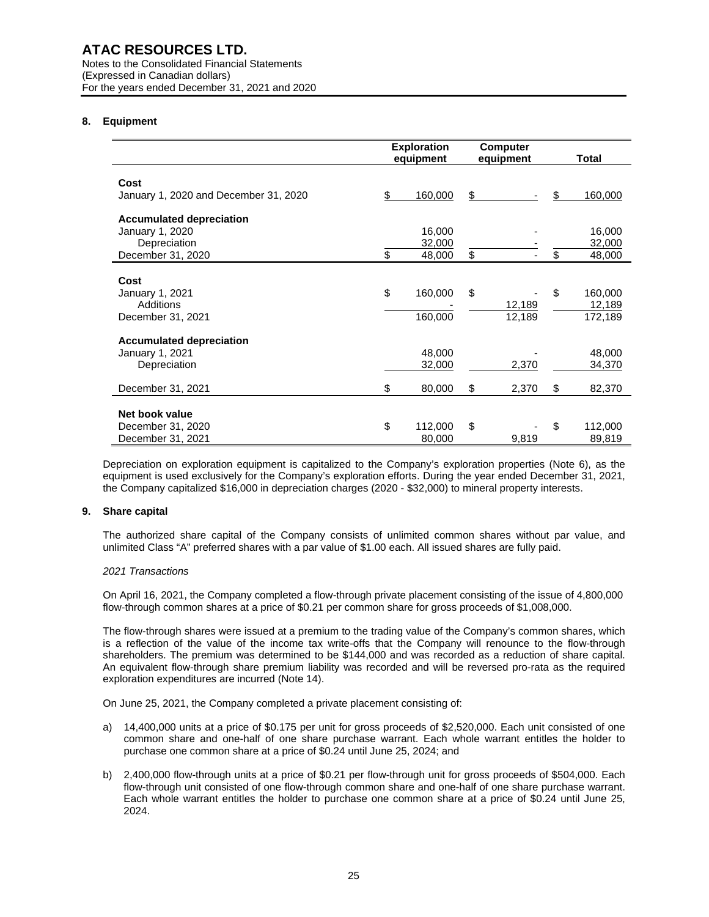For the years ended December 31, 2021 and 2020

## **8. Equipment**

|                                       | <b>Exploration</b><br>equipment |         | <b>Computer</b><br>equipment | Total         |
|---------------------------------------|---------------------------------|---------|------------------------------|---------------|
| Cost                                  |                                 |         |                              |               |
| January 1, 2020 and December 31, 2020 | \$                              | 160,000 | \$                           | \$<br>160,000 |
| <b>Accumulated depreciation</b>       |                                 |         |                              |               |
| January 1, 2020                       |                                 | 16,000  |                              | 16,000        |
| Depreciation                          |                                 | 32,000  |                              | 32,000        |
| December 31, 2020                     | \$                              | 48,000  | \$                           | \$<br>48,000  |
| Cost                                  |                                 |         |                              |               |
| January 1, 2021                       | \$                              | 160,000 | \$                           | \$<br>160,000 |
| <b>Additions</b>                      |                                 |         | 12,189                       | 12,189        |
| December 31, 2021                     |                                 | 160,000 | 12,189                       | 172,189       |
| <b>Accumulated depreciation</b>       |                                 |         |                              |               |
| January 1, 2021                       |                                 | 48,000  |                              | 48,000        |
| Depreciation                          |                                 | 32,000  | 2,370                        | 34,370        |
| December 31, 2021                     | \$                              | 80,000  | \$<br>2,370                  | \$<br>82,370  |
| Net book value                        |                                 |         |                              |               |
| December 31, 2020                     | \$                              | 112,000 | \$                           | \$<br>112,000 |
| December 31, 2021                     |                                 | 80,000  | 9,819                        | 89,819        |

Depreciation on exploration equipment is capitalized to the Company's exploration properties (Note 6), as the equipment is used exclusively for the Company's exploration efforts. During the year ended December 31, 2021, the Company capitalized \$16,000 in depreciation charges (2020 - \$32,000) to mineral property interests.

## **9. Share capital**

The authorized share capital of the Company consists of unlimited common shares without par value, and unlimited Class "A" preferred shares with a par value of \$1.00 each. All issued shares are fully paid.

#### *2021 Transactions*

On April 16, 2021, the Company completed a flow-through private placement consisting of the issue of 4,800,000 flow-through common shares at a price of \$0.21 per common share for gross proceeds of \$1,008,000.

The flow-through shares were issued at a premium to the trading value of the Company's common shares, which is a reflection of the value of the income tax write-offs that the Company will renounce to the flow-through shareholders. The premium was determined to be \$144,000 and was recorded as a reduction of share capital. An equivalent flow-through share premium liability was recorded and will be reversed pro-rata as the required exploration expenditures are incurred (Note 14).

On June 25, 2021, the Company completed a private placement consisting of:

- a) 14,400,000 units at a price of \$0.175 per unit for gross proceeds of \$2,520,000. Each unit consisted of one common share and one-half of one share purchase warrant. Each whole warrant entitles the holder to purchase one common share at a price of \$0.24 until June 25, 2024; and
- b) 2,400,000 flow-through units at a price of \$0.21 per flow-through unit for gross proceeds of \$504,000. Each flow-through unit consisted of one flow-through common share and one-half of one share purchase warrant. Each whole warrant entitles the holder to purchase one common share at a price of \$0.24 until June 25, 2024.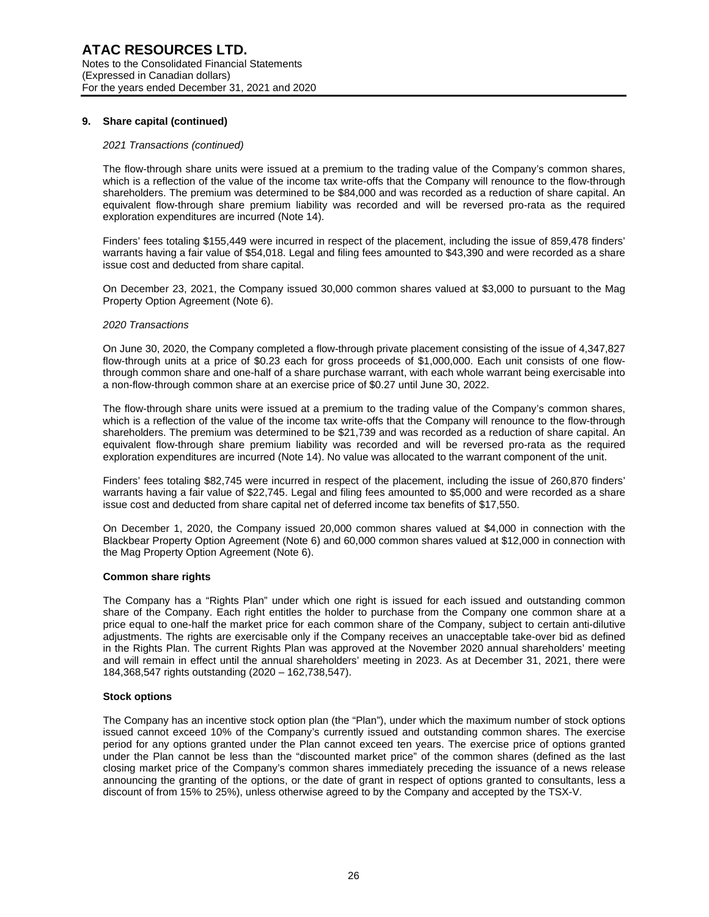## **9. Share capital (continued)**

#### *2021 Transactions (continued)*

The flow-through share units were issued at a premium to the trading value of the Company's common shares, which is a reflection of the value of the income tax write-offs that the Company will renounce to the flow-through shareholders. The premium was determined to be \$84,000 and was recorded as a reduction of share capital. An equivalent flow-through share premium liability was recorded and will be reversed pro-rata as the required exploration expenditures are incurred (Note 14).

Finders' fees totaling \$155,449 were incurred in respect of the placement, including the issue of 859,478 finders' warrants having a fair value of \$54,018. Legal and filing fees amounted to \$43,390 and were recorded as a share issue cost and deducted from share capital.

On December 23, 2021, the Company issued 30,000 common shares valued at \$3,000 to pursuant to the Mag Property Option Agreement (Note 6).

#### *2020 Transactions*

On June 30, 2020, the Company completed a flow-through private placement consisting of the issue of 4,347,827 flow-through units at a price of \$0.23 each for gross proceeds of \$1,000,000. Each unit consists of one flowthrough common share and one-half of a share purchase warrant, with each whole warrant being exercisable into a non-flow-through common share at an exercise price of \$0.27 until June 30, 2022.

The flow-through share units were issued at a premium to the trading value of the Company's common shares, which is a reflection of the value of the income tax write-offs that the Company will renounce to the flow-through shareholders. The premium was determined to be \$21,739 and was recorded as a reduction of share capital. An equivalent flow-through share premium liability was recorded and will be reversed pro-rata as the required exploration expenditures are incurred (Note 14). No value was allocated to the warrant component of the unit.

Finders' fees totaling \$82,745 were incurred in respect of the placement, including the issue of 260,870 finders' warrants having a fair value of \$22,745. Legal and filing fees amounted to \$5,000 and were recorded as a share issue cost and deducted from share capital net of deferred income tax benefits of \$17,550.

On December 1, 2020, the Company issued 20,000 common shares valued at \$4,000 in connection with the Blackbear Property Option Agreement (Note 6) and 60,000 common shares valued at \$12,000 in connection with the Mag Property Option Agreement (Note 6).

#### **Common share rights**

The Company has a "Rights Plan" under which one right is issued for each issued and outstanding common share of the Company. Each right entitles the holder to purchase from the Company one common share at a price equal to one-half the market price for each common share of the Company, subject to certain anti-dilutive adjustments. The rights are exercisable only if the Company receives an unacceptable take-over bid as defined in the Rights Plan. The current Rights Plan was approved at the November 2020 annual shareholders' meeting and will remain in effect until the annual shareholders' meeting in 2023. As at December 31, 2021, there were 184,368,547 rights outstanding (2020 – 162,738,547).

#### **Stock options**

The Company has an incentive stock option plan (the "Plan"), under which the maximum number of stock options issued cannot exceed 10% of the Company's currently issued and outstanding common shares. The exercise period for any options granted under the Plan cannot exceed ten years. The exercise price of options granted under the Plan cannot be less than the "discounted market price" of the common shares (defined as the last closing market price of the Company's common shares immediately preceding the issuance of a news release announcing the granting of the options, or the date of grant in respect of options granted to consultants, less a discount of from 15% to 25%), unless otherwise agreed to by the Company and accepted by the TSX-V.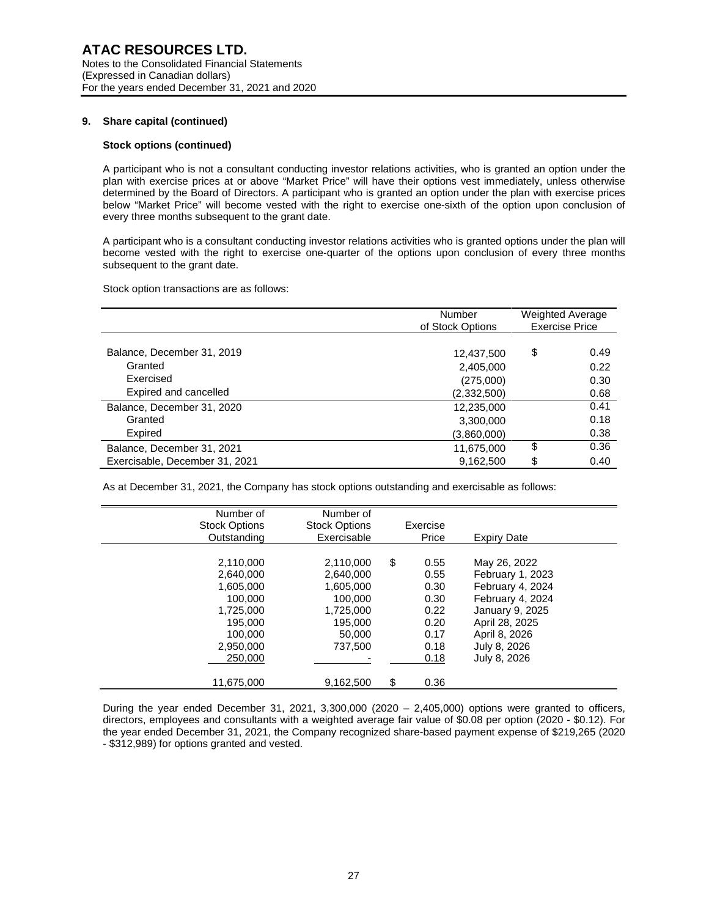#### **9. Share capital (continued)**

#### **Stock options (continued)**

A participant who is not a consultant conducting investor relations activities, who is granted an option under the plan with exercise prices at or above "Market Price" will have their options vest immediately, unless otherwise determined by the Board of Directors. A participant who is granted an option under the plan with exercise prices below "Market Price" will become vested with the right to exercise one-sixth of the option upon conclusion of every three months subsequent to the grant date.

A participant who is a consultant conducting investor relations activities who is granted options under the plan will become vested with the right to exercise one-quarter of the options upon conclusion of every three months subsequent to the grant date.

Stock option transactions are as follows:

|                                                              | <b>Number</b><br>of Stock Options |          | <b>Weighted Average</b><br><b>Exercise Price</b> |  |
|--------------------------------------------------------------|-----------------------------------|----------|--------------------------------------------------|--|
| Balance, December 31, 2019                                   | 12,437,500                        | \$       | 0.49                                             |  |
| Granted<br>Exercised<br>Expired and cancelled                | 2,405,000<br>(275,000)            |          | 0.22<br>0.30                                     |  |
| Balance, December 31, 2020<br>Granted                        | (2,332,500)<br>12,235,000         |          | 0.68<br>0.41<br>0.18                             |  |
| Expired                                                      | 3,300,000<br>(3,860,000)          |          | 0.38                                             |  |
| Balance, December 31, 2021<br>Exercisable, December 31, 2021 | 11,675,000<br>9.162.500           | \$<br>\$ | 0.36<br>0.40                                     |  |

As at December 31, 2021, the Company has stock options outstanding and exercisable as follows:

| Number of            | Number of            |            |                         |
|----------------------|----------------------|------------|-------------------------|
| <b>Stock Options</b> | <b>Stock Options</b> | Exercise   |                         |
| Outstanding          | Exercisable          | Price      | <b>Expiry Date</b>      |
|                      |                      |            |                         |
| 2,110,000            | 2,110,000            | \$<br>0.55 | May 26, 2022            |
| 2.640.000            | 2.640.000            | 0.55       | <b>February 1, 2023</b> |
| 1,605,000            | 1,605,000            | 0.30       | February 4, 2024        |
| 100.000              | 100.000              | 0.30       | February 4, 2024        |
| 1,725,000            | 1,725,000            | 0.22       | January 9, 2025         |
| 195.000              | 195.000              | 0.20       | April 28, 2025          |
| 100.000              | 50,000               | 0.17       | April 8, 2026           |
| 2,950,000            | 737,500              | 0.18       | July 8, 2026            |
| 250,000              |                      | 0.18       | July 8, 2026            |
|                      |                      |            |                         |
| 11.675.000           | 9.162.500            | \$<br>0.36 |                         |

During the year ended December 31, 2021, 3,300,000 (2020 – 2,405,000) options were granted to officers, directors, employees and consultants with a weighted average fair value of \$0.08 per option (2020 - \$0.12). For the year ended December 31, 2021, the Company recognized share-based payment expense of \$219,265 (2020 - \$312,989) for options granted and vested.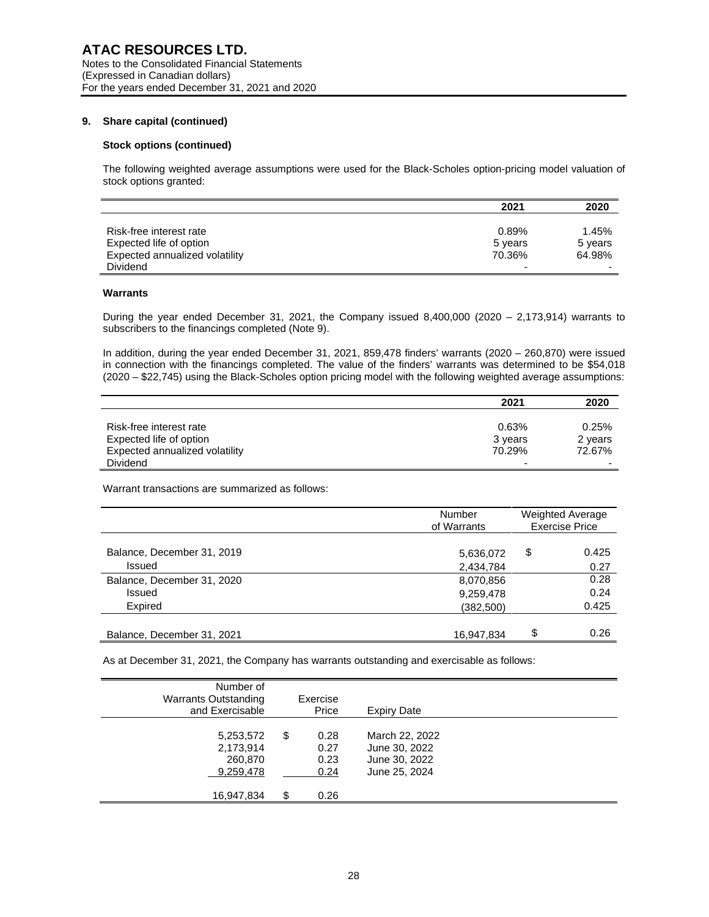#### **9. Share capital (continued)**

## **Stock options (continued)**

The following weighted average assumptions were used for the Black-Scholes option-pricing model valuation of stock options granted:

|                                | 2021    | 2020    |
|--------------------------------|---------|---------|
|                                |         |         |
| Risk-free interest rate        | 0.89%   | 1.45%   |
| Expected life of option        | 5 years | 5 years |
| Expected annualized volatility | 70.36%  | 64.98%  |
| Dividend                       | -       |         |

#### **Warrants**

During the year ended December 31, 2021, the Company issued 8,400,000 (2020 – 2,173,914) warrants to subscribers to the financings completed (Note 9).

In addition, during the year ended December 31, 2021, 859,478 finders' warrants (2020 – 260,870) were issued in connection with the financings completed. The value of the finders' warrants was determined to be \$54,018 (2020 – \$22,745) using the Black-Scholes option pricing model with the following weighted average assumptions:

|                                | 2021    | 2020    |
|--------------------------------|---------|---------|
|                                |         |         |
| Risk-free interest rate        | 0.63%   | 0.25%   |
| Expected life of option        | 3 years | 2 years |
| Expected annualized volatility | 70.29%  | 72.67%  |
| <b>Dividend</b>                | -       | -       |

Warrant transactions are summarized as follows:

|                                             | <b>Number</b><br>of Warrants | Weighted Average<br><b>Exercise Price</b> |
|---------------------------------------------|------------------------------|-------------------------------------------|
| Balance, December 31, 2019<br><b>Issued</b> | 5,636,072                    | \$<br>0.425                               |
| Balance, December 31, 2020                  | 2,434,784<br>8,070,856       | 0.27<br>0.28                              |
| <b>Issued</b><br>Expired                    | 9,259,478<br>(382, 500)      | 0.24<br>0.425                             |
| Balance, December 31, 2021                  | 16.947.834                   | \$<br>0.26                                |

As at December 31, 2021, the Company has warrants outstanding and exercisable as follows:

| Number of<br><b>Warrants Outstanding</b><br>and Exercisable | Exercise<br>Price                  | <b>Expiry Date</b>                                                |  |
|-------------------------------------------------------------|------------------------------------|-------------------------------------------------------------------|--|
| 5,253,572<br>2,173,914<br>260,870<br>9,259,478              | \$<br>0.28<br>0.27<br>0.23<br>0.24 | March 22, 2022<br>June 30, 2022<br>June 30, 2022<br>June 25, 2024 |  |
| 16,947,834                                                  | \$<br>0.26                         |                                                                   |  |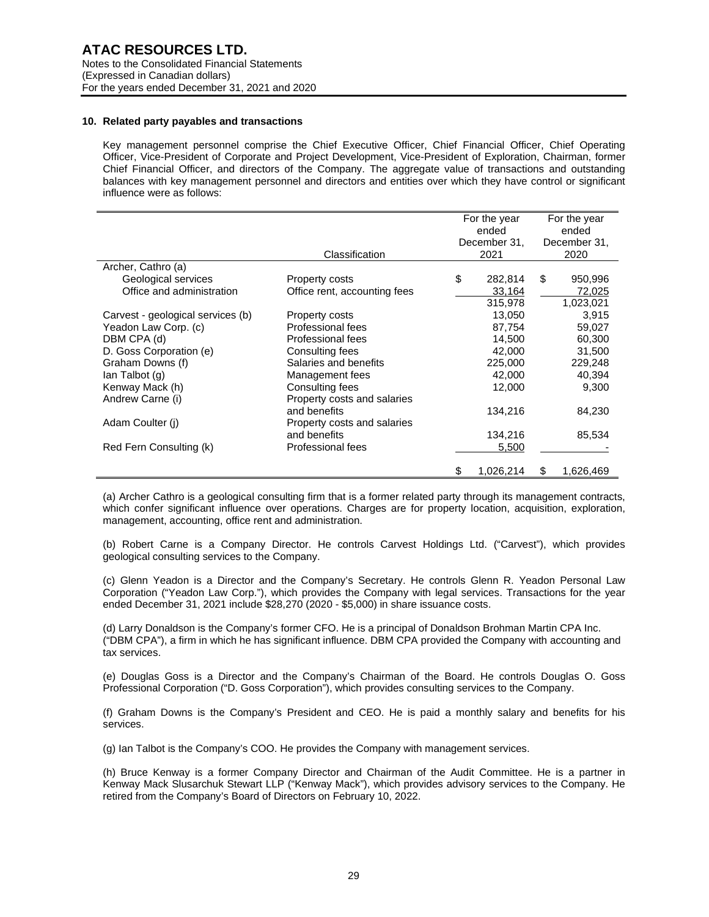#### **10. Related party payables and transactions**

Key management personnel comprise the Chief Executive Officer, Chief Financial Officer, Chief Operating Officer, Vice-President of Corporate and Project Development, Vice-President of Exploration, Chairman, former Chief Financial Officer, and directors of the Company. The aggregate value of transactions and outstanding balances with key management personnel and directors and entities over which they have control or significant influence were as follows:

|                                   |                              |    | For the year<br>ended | For the year<br>ended |              |  |
|-----------------------------------|------------------------------|----|-----------------------|-----------------------|--------------|--|
|                                   |                              |    | December 31.          |                       | December 31, |  |
|                                   | Classification               |    | 2021                  | 2020                  |              |  |
| Archer, Cathro (a)                |                              |    |                       |                       |              |  |
| Geological services               | Property costs               | \$ | 282,814               | \$                    | 950,996      |  |
| Office and administration         | Office rent, accounting fees |    | 33,164                |                       | 72,025       |  |
|                                   |                              |    | 315,978               |                       | 1,023,021    |  |
| Carvest - geological services (b) | Property costs               |    | 13,050                |                       | 3,915        |  |
| Yeadon Law Corp. (c)              | Professional fees            |    | 87,754                |                       | 59,027       |  |
| DBM CPA (d)                       | Professional fees            |    | 14,500                |                       | 60,300       |  |
| D. Goss Corporation (e)           | Consulting fees              |    | 42,000                |                       | 31,500       |  |
| Graham Downs (f)                  | Salaries and benefits        |    | 225,000               |                       | 229,248      |  |
| lan Talbot (g)                    | Management fees              |    | 42,000                |                       | 40,394       |  |
| Kenway Mack (h)                   | Consulting fees              |    | 12,000                |                       | 9,300        |  |
| Andrew Carne (i)                  | Property costs and salaries  |    |                       |                       |              |  |
|                                   | and benefits                 |    | 134,216               |                       | 84,230       |  |
| Adam Coulter (i)                  | Property costs and salaries  |    |                       |                       |              |  |
|                                   | and benefits                 |    | 134,216               |                       | 85,534       |  |
| Red Fern Consulting (k)           | Professional fees            |    | 5,500                 |                       |              |  |
|                                   |                              | S  | 1,026,214             | \$                    | 1,626,469    |  |

(a) Archer Cathro is a geological consulting firm that is a former related party through its management contracts, which confer significant influence over operations. Charges are for property location, acquisition, exploration, management, accounting, office rent and administration.

(b) Robert Carne is a Company Director. He controls Carvest Holdings Ltd. ("Carvest"), which provides geological consulting services to the Company.

(c) Glenn Yeadon is a Director and the Company's Secretary. He controls Glenn R. Yeadon Personal Law Corporation ("Yeadon Law Corp."), which provides the Company with legal services. Transactions for the year ended December 31, 2021 include \$28,270 (2020 - \$5,000) in share issuance costs.

(d) Larry Donaldson is the Company's former CFO. He is a principal of Donaldson Brohman Martin CPA Inc. ("DBM CPA"), a firm in which he has significant influence. DBM CPA provided the Company with accounting and tax services.

(e) Douglas Goss is a Director and the Company's Chairman of the Board. He controls Douglas O. Goss Professional Corporation ("D. Goss Corporation"), which provides consulting services to the Company.

(f) Graham Downs is the Company's President and CEO. He is paid a monthly salary and benefits for his services.

(g) Ian Talbot is the Company's COO. He provides the Company with management services.

(h) Bruce Kenway is a former Company Director and Chairman of the Audit Committee. He is a partner in Kenway Mack Slusarchuk Stewart LLP ("Kenway Mack"), which provides advisory services to the Company. He retired from the Company's Board of Directors on February 10, 2022.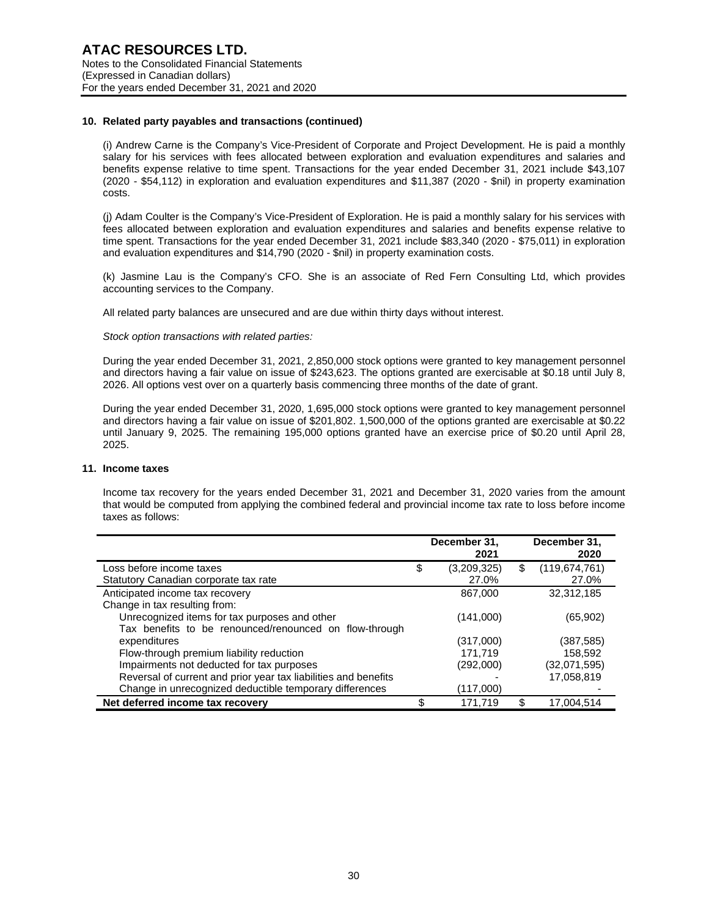## **10. Related party payables and transactions (continued)**

(i) Andrew Carne is the Company's Vice-President of Corporate and Project Development. He is paid a monthly salary for his services with fees allocated between exploration and evaluation expenditures and salaries and benefits expense relative to time spent. Transactions for the year ended December 31, 2021 include \$43,107 (2020 - \$54,112) in exploration and evaluation expenditures and \$11,387 (2020 - \$nil) in property examination costs.

(j) Adam Coulter is the Company's Vice-President of Exploration. He is paid a monthly salary for his services with fees allocated between exploration and evaluation expenditures and salaries and benefits expense relative to time spent. Transactions for the year ended December 31, 2021 include \$83,340 (2020 - \$75,011) in exploration and evaluation expenditures and \$14,790 (2020 - \$nil) in property examination costs.

(k) Jasmine Lau is the Company's CFO. She is an associate of Red Fern Consulting Ltd, which provides accounting services to the Company.

All related party balances are unsecured and are due within thirty days without interest.

#### *Stock option transactions with related parties:*

During the year ended December 31, 2021, 2,850,000 stock options were granted to key management personnel and directors having a fair value on issue of \$243,623. The options granted are exercisable at \$0.18 until July 8, 2026. All options vest over on a quarterly basis commencing three months of the date of grant.

During the year ended December 31, 2020, 1,695,000 stock options were granted to key management personnel and directors having a fair value on issue of \$201,802. 1,500,000 of the options granted are exercisable at \$0.22 until January 9, 2025. The remaining 195,000 options granted have an exercise price of \$0.20 until April 28, 2025.

#### **11. Income taxes**

Income tax recovery for the years ended December 31, 2021 and December 31, 2020 varies from the amount that would be computed from applying the combined federal and provincial income tax rate to loss before income taxes as follows:

|                                                                 | December 31,      | December 31,          |
|-----------------------------------------------------------------|-------------------|-----------------------|
|                                                                 | 2021              | 2020                  |
| Loss before income taxes                                        | \$<br>(3,209,325) | \$<br>(119, 674, 761) |
| Statutory Canadian corporate tax rate                           | 27.0%             | 27.0%                 |
| Anticipated income tax recovery                                 | 867.000           | 32.312.185            |
| Change in tax resulting from:                                   |                   |                       |
| Unrecognized items for tax purposes and other                   | (141,000)         | (65, 902)             |
| Tax benefits to be renounced/renounced on flow-through          |                   |                       |
| expenditures                                                    | (317,000)         | (387, 585)            |
| Flow-through premium liability reduction                        | 171.719           | 158,592               |
| Impairments not deducted for tax purposes                       | (292,000)         | (32,071,595)          |
| Reversal of current and prior year tax liabilities and benefits |                   | 17,058,819            |
| Change in unrecognized deductible temporary differences         | (117,000)         |                       |
| Net deferred income tax recovery                                | 171.719           | 17,004,514            |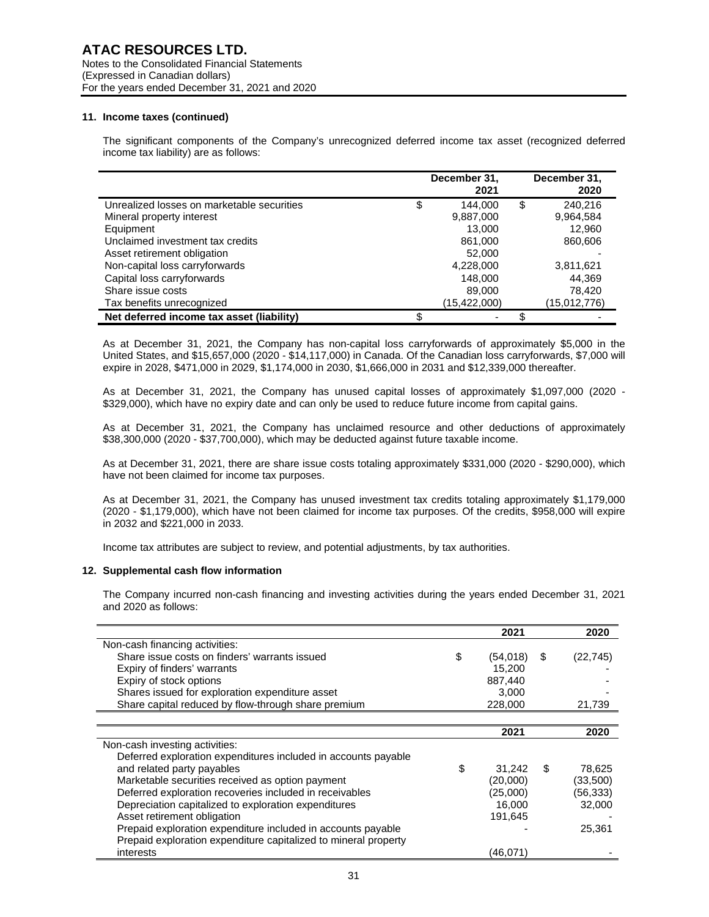## **11. Income taxes (continued)**

The significant components of the Company's unrecognized deferred income tax asset (recognized deferred income tax liability) are as follows:

|                                            | December 31,<br>2021 | December 31,<br>2020 |
|--------------------------------------------|----------------------|----------------------|
| Unrealized losses on marketable securities | \$<br>144.000        | \$<br>240.216        |
| Mineral property interest                  | 9,887,000            | 9,964,584            |
| Equipment                                  | 13.000               | 12.960               |
| Unclaimed investment tax credits           | 861,000              | 860,606              |
| Asset retirement obligation                | 52,000               |                      |
| Non-capital loss carryforwards             | 4,228,000            | 3,811,621            |
| Capital loss carryforwards                 | 148,000              | 44.369               |
| Share issue costs                          | 89,000               | 78,420               |
| Tax benefits unrecognized                  | (15,422,000)         | (15,012,776)         |
| Net deferred income tax asset (liability)  | \$                   |                      |

As at December 31, 2021, the Company has non-capital loss carryforwards of approximately \$5,000 in the United States, and \$15,657,000 (2020 - \$14,117,000) in Canada. Of the Canadian loss carryforwards, \$7,000 will expire in 2028, \$471,000 in 2029, \$1,174,000 in 2030, \$1,666,000 in 2031 and \$12,339,000 thereafter.

As at December 31, 2021, the Company has unused capital losses of approximately \$1,097,000 (2020 - \$329,000), which have no expiry date and can only be used to reduce future income from capital gains.

As at December 31, 2021, the Company has unclaimed resource and other deductions of approximately \$38,300,000 (2020 - \$37,700,000), which may be deducted against future taxable income.

As at December 31, 2021, there are share issue costs totaling approximately \$331,000 (2020 - \$290,000), which have not been claimed for income tax purposes.

As at December 31, 2021, the Company has unused investment tax credits totaling approximately \$1,179,000 (2020 - \$1,179,000), which have not been claimed for income tax purposes. Of the credits, \$958,000 will expire in 2032 and \$221,000 in 2033.

Income tax attributes are subject to review, and potential adjustments, by tax authorities.

#### **12. Supplemental cash flow information**

The Company incurred non-cash financing and investing activities during the years ended December 31, 2021 and 2020 as follows:

|                                                                 | 2021           | 2020            |
|-----------------------------------------------------------------|----------------|-----------------|
| Non-cash financing activities:                                  |                |                 |
| Share issue costs on finders' warrants issued                   | \$<br>(54,018) | \$<br>(22, 745) |
| Expiry of finders' warrants                                     | 15,200         |                 |
| Expiry of stock options                                         | 887.440        |                 |
| Shares issued for exploration expenditure asset                 | 3,000          |                 |
| Share capital reduced by flow-through share premium             | 228,000        | 21,739          |
|                                                                 |                |                 |
|                                                                 | 2021           | 2020            |
| Non-cash investing activities:                                  |                |                 |
| Deferred exploration expenditures included in accounts payable  |                |                 |
| and related party payables                                      | \$<br>31,242   | \$<br>78,625    |
| Marketable securities received as option payment                | (20,000)       | (33,500)        |
| Deferred exploration recoveries included in receivables         | (25,000)       | (56, 333)       |
| Depreciation capitalized to exploration expenditures            | 16,000         | 32,000          |
| Asset retirement obligation                                     | 191,645        |                 |
| Prepaid exploration expenditure included in accounts payable    |                | 25,361          |
| Prepaid exploration expenditure capitalized to mineral property |                |                 |
| interests                                                       | (46.071)       |                 |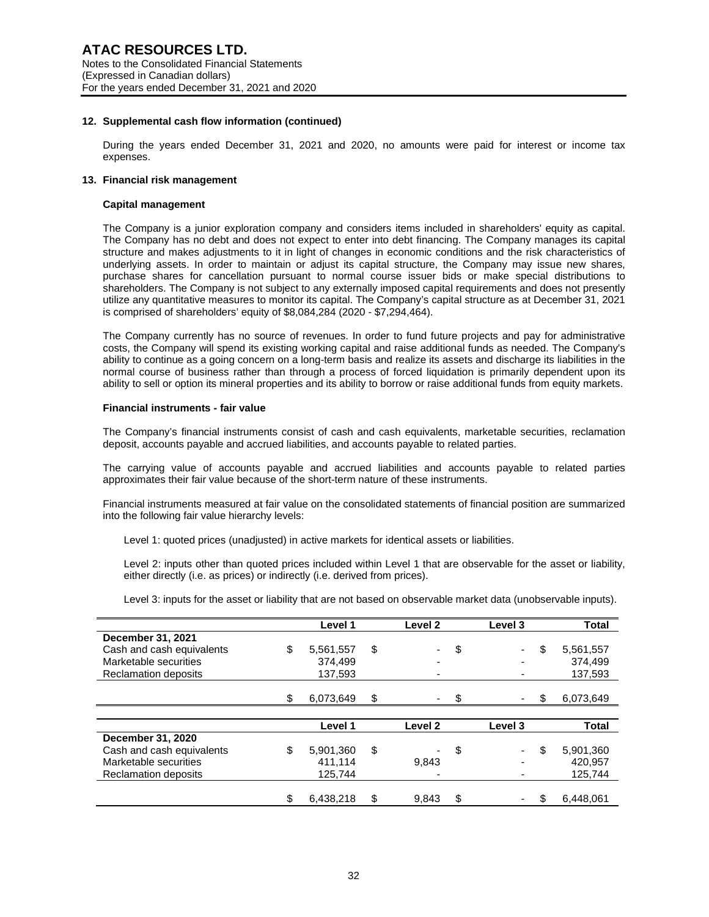## **12. Supplemental cash flow information (continued)**

During the years ended December 31, 2021 and 2020, no amounts were paid for interest or income tax expenses.

#### **13. Financial risk management**

#### **Capital management**

The Company is a junior exploration company and considers items included in shareholders' equity as capital. The Company has no debt and does not expect to enter into debt financing. The Company manages its capital structure and makes adjustments to it in light of changes in economic conditions and the risk characteristics of underlying assets. In order to maintain or adjust its capital structure, the Company may issue new shares, purchase shares for cancellation pursuant to normal course issuer bids or make special distributions to shareholders. The Company is not subject to any externally imposed capital requirements and does not presently utilize any quantitative measures to monitor its capital. The Company's capital structure as at December 31, 2021 is comprised of shareholders' equity of \$8,084,284 (2020 - \$7,294,464).

The Company currently has no source of revenues. In order to fund future projects and pay for administrative costs, the Company will spend its existing working capital and raise additional funds as needed. The Company's ability to continue as a going concern on a long-term basis and realize its assets and discharge its liabilities in the normal course of business rather than through a process of forced liquidation is primarily dependent upon its ability to sell or option its mineral properties and its ability to borrow or raise additional funds from equity markets.

#### **Financial instruments - fair value**

The Company's financial instruments consist of cash and cash equivalents, marketable securities, reclamation deposit, accounts payable and accrued liabilities, and accounts payable to related parties.

The carrying value of accounts payable and accrued liabilities and accounts payable to related parties approximates their fair value because of the short-term nature of these instruments.

Financial instruments measured at fair value on the consolidated statements of financial position are summarized into the following fair value hierarchy levels:

Level 1: quoted prices (unadjusted) in active markets for identical assets or liabilities.

Level 2: inputs other than quoted prices included within Level 1 that are observable for the asset or liability, either directly (i.e. as prices) or indirectly (i.e. derived from prices).

Level 3: inputs for the asset or liability that are not based on observable market data (unobservable inputs).

|                             | Level 1         | Level 2            | Level 3        | <b>Total</b>    |
|-----------------------------|-----------------|--------------------|----------------|-----------------|
| December 31, 2021           |                 |                    |                |                 |
| Cash and cash equivalents   | \$<br>5,561,557 | \$                 | \$             | \$<br>5,561,557 |
| Marketable securities       | 374.499         |                    |                | 374.499         |
| <b>Reclamation deposits</b> | 137,593         |                    |                | 137,593         |
|                             |                 |                    |                |                 |
|                             | \$<br>6,073,649 | \$                 | \$             | \$<br>6,073,649 |
|                             |                 |                    |                |                 |
|                             | Level 1         | Level <sub>2</sub> | <b>Level 3</b> | Total           |
| December 31, 2020           |                 |                    |                |                 |
| Cash and cash equivalents   | \$<br>5,901,360 | \$                 | \$             | \$<br>5,901,360 |
| Marketable securities       | 411.114         | 9.843              |                | 420,957         |
| <b>Reclamation deposits</b> | 125,744         |                    |                | 125,744         |
|                             |                 |                    |                |                 |
|                             | 6,438,218       | \$<br>9.843        | \$             | \$<br>6.448.061 |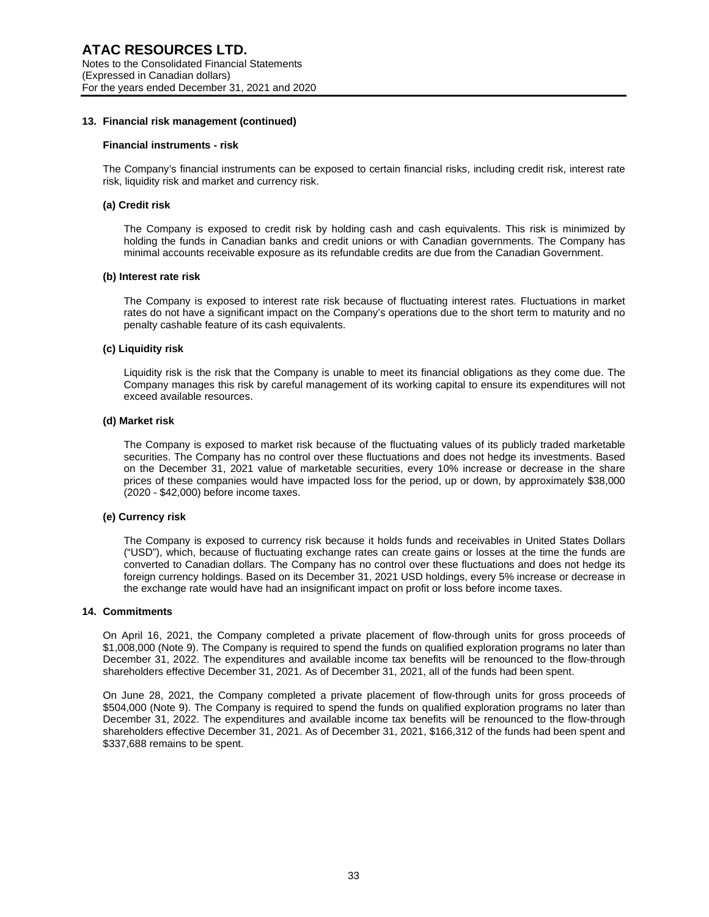#### **13. Financial risk management (continued)**

#### **Financial instruments - risk**

The Company's financial instruments can be exposed to certain financial risks, including credit risk, interest rate risk, liquidity risk and market and currency risk.

## **(a) Credit risk**

The Company is exposed to credit risk by holding cash and cash equivalents. This risk is minimized by holding the funds in Canadian banks and credit unions or with Canadian governments. The Company has minimal accounts receivable exposure as its refundable credits are due from the Canadian Government.

#### **(b) Interest rate risk**

The Company is exposed to interest rate risk because of fluctuating interest rates. Fluctuations in market rates do not have a significant impact on the Company's operations due to the short term to maturity and no penalty cashable feature of its cash equivalents.

#### **(c) Liquidity risk**

Liquidity risk is the risk that the Company is unable to meet its financial obligations as they come due. The Company manages this risk by careful management of its working capital to ensure its expenditures will not exceed available resources.

#### **(d) Market risk**

The Company is exposed to market risk because of the fluctuating values of its publicly traded marketable securities. The Company has no control over these fluctuations and does not hedge its investments. Based on the December 31, 2021 value of marketable securities, every 10% increase or decrease in the share prices of these companies would have impacted loss for the period, up or down, by approximately \$38,000 (2020 - \$42,000) before income taxes.

## **(e) Currency risk**

The Company is exposed to currency risk because it holds funds and receivables in United States Dollars ("USD"), which, because of fluctuating exchange rates can create gains or losses at the time the funds are converted to Canadian dollars. The Company has no control over these fluctuations and does not hedge its foreign currency holdings. Based on its December 31, 2021 USD holdings, every 5% increase or decrease in the exchange rate would have had an insignificant impact on profit or loss before income taxes.

## **14. Commitments**

On April 16, 2021, the Company completed a private placement of flow-through units for gross proceeds of \$1,008,000 (Note 9). The Company is required to spend the funds on qualified exploration programs no later than December 31, 2022. The expenditures and available income tax benefits will be renounced to the flow-through shareholders effective December 31, 2021. As of December 31, 2021, all of the funds had been spent.

On June 28, 2021, the Company completed a private placement of flow-through units for gross proceeds of \$504,000 (Note 9). The Company is required to spend the funds on qualified exploration programs no later than December 31, 2022. The expenditures and available income tax benefits will be renounced to the flow-through shareholders effective December 31, 2021. As of December 31, 2021, \$166,312 of the funds had been spent and \$337,688 remains to be spent.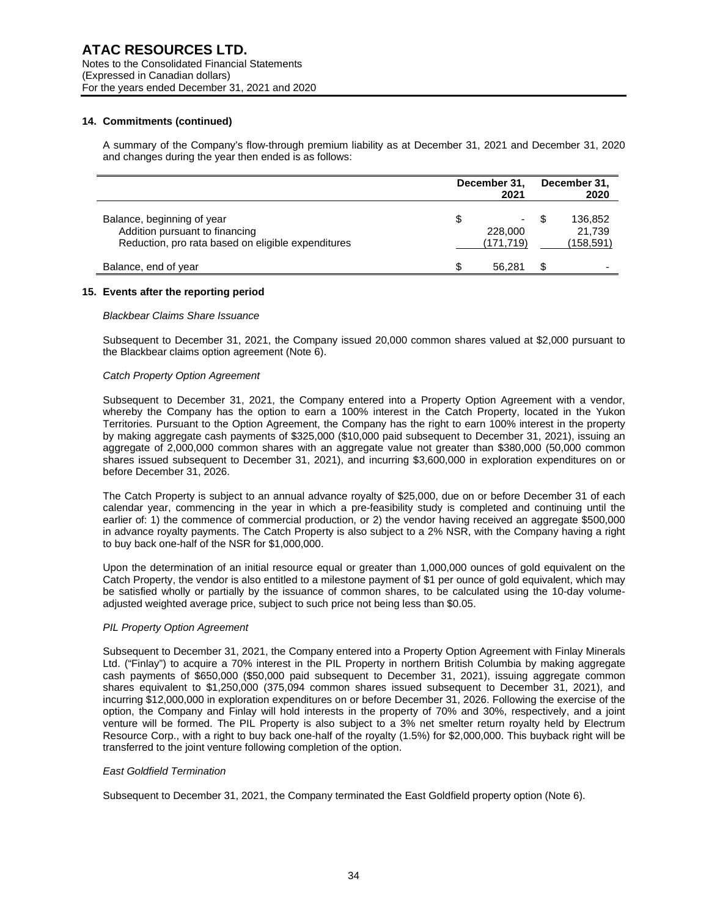## **14. Commitments (continued)**

A summary of the Company's flow-through premium liability as at December 31, 2021 and December 31, 2020 and changes during the year then ended is as follows:

|                                                                                                                    |   | December 31,<br>2021        | December 31,<br>2020 |                                       |
|--------------------------------------------------------------------------------------------------------------------|---|-----------------------------|----------------------|---------------------------------------|
| Balance, beginning of year<br>Addition pursuant to financing<br>Reduction, pro rata based on eligible expenditures | S | ۰.<br>228,000<br>(171, 719) | -S                   | 136,852<br>21.739<br><u>(158,591)</u> |
| Balance, end of year                                                                                               |   | 56.281                      | \$.                  |                                       |

## **15. Events after the reporting period**

#### *Blackbear Claims Share Issuance*

Subsequent to December 31, 2021, the Company issued 20,000 common shares valued at \$2,000 pursuant to the Blackbear claims option agreement (Note 6).

## *Catch Property Option Agreement*

Subsequent to December 31, 2021, the Company entered into a Property Option Agreement with a vendor, whereby the Company has the option to earn a 100% interest in the Catch Property, located in the Yukon Territories. Pursuant to the Option Agreement, the Company has the right to earn 100% interest in the property by making aggregate cash payments of \$325,000 (\$10,000 paid subsequent to December 31, 2021), issuing an aggregate of 2,000,000 common shares with an aggregate value not greater than \$380,000 (50,000 common shares issued subsequent to December 31, 2021), and incurring \$3,600,000 in exploration expenditures on or before December 31, 2026.

The Catch Property is subject to an annual advance royalty of \$25,000, due on or before December 31 of each calendar year, commencing in the year in which a pre-feasibility study is completed and continuing until the earlier of: 1) the commence of commercial production, or 2) the vendor having received an aggregate \$500,000 in advance royalty payments. The Catch Property is also subject to a 2% NSR, with the Company having a right to buy back one-half of the NSR for \$1,000,000.

Upon the determination of an initial resource equal or greater than 1,000,000 ounces of gold equivalent on the Catch Property, the vendor is also entitled to a milestone payment of \$1 per ounce of gold equivalent, which may be satisfied wholly or partially by the issuance of common shares, to be calculated using the 10-day volumeadjusted weighted average price, subject to such price not being less than \$0.05.

## *PIL Property Option Agreement*

Subsequent to December 31, 2021, the Company entered into a Property Option Agreement with Finlay Minerals Ltd. ("Finlay") to acquire a 70% interest in the PIL Property in northern British Columbia by making aggregate cash payments of \$650,000 (\$50,000 paid subsequent to December 31, 2021), issuing aggregate common shares equivalent to \$1,250,000 (375,094 common shares issued subsequent to December 31, 2021), and incurring \$12,000,000 in exploration expenditures on or before December 31, 2026. Following the exercise of the option, the Company and Finlay will hold interests in the property of 70% and 30%, respectively, and a joint venture will be formed. The PIL Property is also subject to a 3% net smelter return royalty held by Electrum Resource Corp., with a right to buy back one-half of the royalty (1.5%) for \$2,000,000. This buyback right will be transferred to the joint venture following completion of the option.

## *East Goldfield Termination*

Subsequent to December 31, 2021, the Company terminated the East Goldfield property option (Note 6).